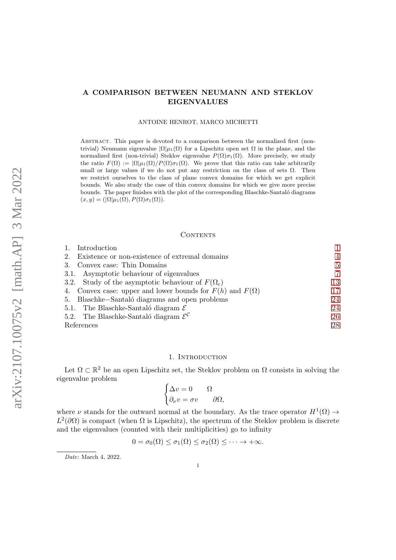# A COMPARISON BETWEEN NEUMANN AND STEKLOV EIGENVALUES

### ANTOINE HENROT, MARCO MICHETTI

ABSTRACT. This paper is devoted to a comparison between the normalized first (nontrivial) Neumann eigenvalue  $|\Omega|\mu_1(\Omega)$  for a Lipschitz open set  $\Omega$  in the plane, and the normalized first (non-trivial) Steklov eigenvalue  $P(\Omega)\sigma_1(\Omega)$ . More precisely, we study the ratio  $F(\Omega) := |\Omega|\mu_1(\Omega)/P(\Omega)\sigma_1(\Omega)$ . We prove that this ratio can take arbitrarily small or large values if we do not put any restriction on the class of sets  $\Omega$ . Then we restrict ourselves to the class of plane convex domains for which we get explicit bounds. We also study the case of thin convex domains for which we give more precise bounds. The paper finishes with the plot of the corresponding Blaschke-Santaló diagrams  $(x, y) = (|\Omega|\mu_1(\Omega), P(\Omega)\sigma_1(\Omega)).$ 

#### CONTENTS

| Introduction                                                      |                |
|-------------------------------------------------------------------|----------------|
| Existence or non-existence of extremal domains<br>2.              | $\overline{4}$ |
| 3. Convex case: Thin Domains                                      | 5              |
| 3.1. Asymptotic behaviour of eigenvalues                          | 7              |
| 3.2. Study of the asymptotic behaviour of $F(\Omega_{\epsilon})$  | 13             |
| 4. Convex case: upper and lower bounds for $F(h)$ and $F(\Omega)$ | 17             |
| 5. Blaschke-Santaló diagrams and open problems                    | 24             |
| 5.1. The Blaschke-Santaló diagram $\mathcal E$                    | 24             |
| 5.2. The Blaschke-Santaló diagram $\mathcal{E}^{\mathcal{C}}$     | 26             |
| References                                                        | 28             |

#### 1. INTRODUCTION

<span id="page-0-0"></span>Let  $\Omega \subset \mathbb{R}^2$  be an open Lipschitz set, the Steklov problem on  $\Omega$  consists in solving the eigenvalue problem

$$
\begin{cases} \Delta v = 0 & \Omega \\ \partial_{\nu} v = \sigma v & \partial \Omega, \end{cases}
$$

where  $\nu$  stands for the outward normal at the boundary. As the trace operator  $H^1(\Omega) \to$  $L^2(\partial\Omega)$  is compact (when  $\Omega$  is Lipschitz), the spectrum of the Steklov problem is discrete and the eigenvalues (counted with their multiplicities) go to infinity

$$
0 = \sigma_0(\Omega) \le \sigma_1(\Omega) \le \sigma_2(\Omega) \le \cdots \to +\infty.
$$

Date: March 4, 2022.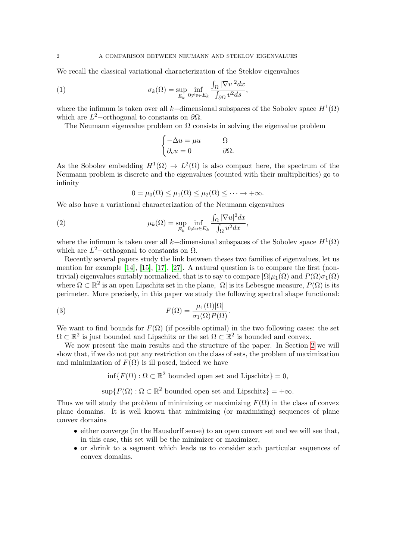We recall the classical variational characterization of the Steklov eigenvalues

(1) 
$$
\sigma_k(\Omega) = \sup_{E_k} \inf_{0 \neq v \in E_k} \frac{\int_{\Omega} |\nabla v|^2 dx}{\int_{\partial \Omega} v^2 ds},
$$

where the infimum is taken over all k–dimensional subspaces of the Sobolev space  $H^1(\Omega)$ which are  $L^2$ -orthogonal to constants on  $\partial\Omega$ .

The Neumann eigenvalue problem on  $\Omega$  consists in solving the eigenvalue problem

<span id="page-1-0"></span>
$$
\begin{cases}\n-\Delta u = \mu u & \Omega \\
\partial_\nu u = 0 & \partial\Omega.\n\end{cases}
$$

As the Sobolev embedding  $H^1(\Omega) \to L^2(\Omega)$  is also compact here, the spectrum of the Neumann problem is discrete and the eigenvalues (counted with their multiplicities) go to infinity

<span id="page-1-1"></span>
$$
0 = \mu_0(\Omega) \leq \mu_1(\Omega) \leq \mu_2(\Omega) \leq \cdots \to +\infty.
$$

We also have a variational characterization of the Neumann eigenvalues

(2) 
$$
\mu_k(\Omega) = \sup_{E_k} \inf_{0 \neq u \in E_k} \frac{\int_{\Omega} |\nabla u|^2 dx}{\int_{\Omega} u^2 dx},
$$

where the infimum is taken over all k–dimensional subspaces of the Sobolev space  $H^1(\Omega)$ which are  $L^2$ -orthogonal to constants on  $\Omega$ .

Recently several papers study the link between theses two families of eigenvalues, let us mention for example [\[14\]](#page-28-0), [\[15\]](#page-28-1), [\[17\]](#page-28-2), [\[27\]](#page-28-3). A natural question is to compare the first (nontrivial) eigenvalues suitably normalized, that is to say to compare  $|\Omega|\mu_1(\Omega)$  and  $P(\Omega)\sigma_1(\Omega)$ where  $\Omega \subset \mathbb{R}^2$  is an open Lipschitz set in the plane,  $|\Omega|$  is its Lebesgue measure,  $P(\Omega)$  is its perimeter. More precisely, in this paper we study the following spectral shape functional:

(3) 
$$
F(\Omega) = \frac{\mu_1(\Omega)|\Omega|}{\sigma_1(\Omega)P(\Omega)}.
$$

We want to find bounds for  $F(\Omega)$  (if possible optimal) in the two following cases: the set  $\Omega \subset \mathbb{R}^2$  is just bounded and Lipschitz or the set  $\Omega \subset \mathbb{R}^2$  is bounded and convex.

We now present the main results and the structure of the paper. In Section [2](#page-3-0) we will show that, if we do not put any restriction on the class of sets, the problem of maximization and minimization of  $F(\Omega)$  is ill posed, indeed we have

 $\inf\{F(\Omega): \Omega \subset \mathbb{R}^2$  bounded open set and Lipschitz $\} = 0$ ,

 $\sup\{F(\Omega): \Omega \subset \mathbb{R}^2 \text{ bounded open set and Lipschitz}\} = +\infty.$ 

Thus we will study the problem of minimizing or maximizing  $F(\Omega)$  in the class of convex plane domains. It is well known that minimizing (or maximizing) sequences of plane convex domains

- either converge (in the Hausdorff sense) to an open convex set and we will see that, in this case, this set will be the minimizer or maximizer,
- or shrink to a segment which leads us to consider such particular sequences of convex domains.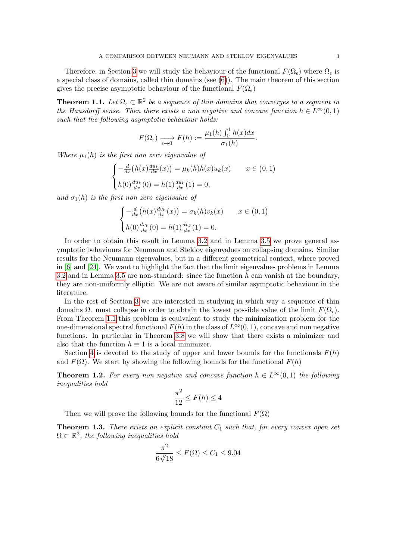Therefore, in Section [3](#page-4-0) we will study the behaviour of the functional  $F(\Omega_{\epsilon})$  where  $\Omega_{\epsilon}$  is a special class of domains, called thin domains (see [\(6\)](#page-4-1)). The main theorem of this section gives the precise asymptotic behaviour of the functional  $F(\Omega_{\epsilon})$ 

<span id="page-2-0"></span>**Theorem 1.1.** Let  $\Omega_{\epsilon} \subset \mathbb{R}^2$  be a sequence of thin domains that converges to a segment in the Hausdorff sense. Then there exists a non negative and concave function  $h \in L^{\infty}(0,1)$ such that the following asymptotic behaviour holds:

$$
F(\Omega_{\epsilon}) \xrightarrow[\epsilon \to 0]{} F(h) := \frac{\mu_1(h) \int_0^1 h(x) dx}{\sigma_1(h)}.
$$

Where  $\mu_1(h)$  is the first non zero eigenvalue of

$$
\begin{cases}\n-\frac{d}{dx}\left(h(x)\frac{du_k}{dx}(x)\right) = \mu_k(h)h(x)u_k(x) & x \in (0,1) \\
h(0)\frac{du_k}{dx}(0) = h(1)\frac{du_k}{dx}(1) = 0,\n\end{cases}
$$

and  $\sigma_1(h)$  is the first non zero eigenvalue of

$$
\begin{cases}\n-\frac{d}{dx}\left(h(x)\frac{dv_k}{dx}(x)\right) = \sigma_k(h)v_k(x) & x \in (0,1) \\
h(0)\frac{dv_k}{dx}(0) = h(1)\frac{dv_k}{dx}(1) = 0.\n\end{cases}
$$

In order to obtain this result in Lemma [3.2](#page-6-1) and in Lemma [3.5](#page-9-0) we prove general asymptotic behaviours for Neumann and Steklov eigenvalues on collapsing domains. Similar results for the Neumann eigenvalues, but in a different geometrical context, where proved in [\[6\]](#page-28-4) and [\[24\]](#page-28-5). We want to highlight the fact that the limit eigenvalues problems in Lemma [3.2](#page-6-1) and in Lemma [3.5](#page-9-0) are non-standard: since the function  $h$  can vanish at the boundary, they are non-uniformly elliptic. We are not aware of similar asymptotic behaviour in the literature.

In the rest of Section [3](#page-4-0) we are interested in studying in which way a sequence of thin domains  $\Omega_{\epsilon}$  must collapse in order to obtain the lowest possible value of the limit  $F(\Omega_{\epsilon})$ . From Theorem [1.1](#page-2-0) this problem is equivalent to study the minimization problem for the one-dimensional spectral functional  $F(h)$  in the class of  $L^{\infty}(0, 1)$ , concave and non negative functions. In particular in Theorem [3.8](#page-12-1) we will show that there exists a minimizer and also that the function  $h \equiv 1$  is a local minimizer.

Section [4](#page-16-0) is devoted to the study of upper and lower bounds for the functionals  $F(h)$ and  $F(\Omega)$ . We start by showing the following bounds for the functional  $F(h)$ 

<span id="page-2-1"></span>**Theorem 1.2.** For every non negative and concave function  $h \in L^{\infty}(0, 1)$  the following inequalities hold

$$
\frac{\pi^2}{12} \le F(h) \le 4
$$

Then we will prove the following bounds for the functional  $F(\Omega)$ 

<span id="page-2-2"></span>**Theorem 1.3.** There exists an explicit constant  $C_1$  such that, for every convex open set  $\Omega \subset \mathbb{R}^2$ , the following inequalities hold

$$
\frac{\pi^2}{6\sqrt[3]{18}} \le F(\Omega) \le C_1 \le 9.04
$$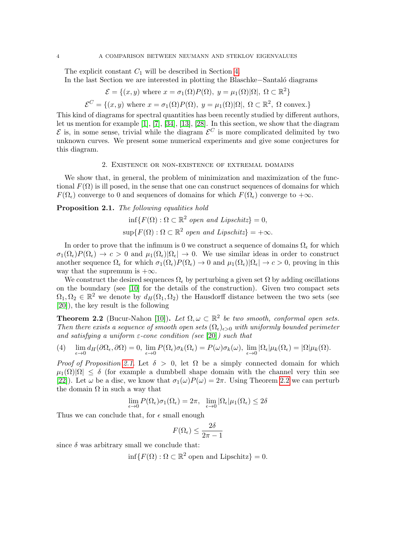The explicit constant  $C_1$  will be described in Section [4.](#page-16-0)

In the last Section we are interested in plotting the Blaschke−Santal´o diagrams

$$
\mathcal{E} = \{(x, y) \text{ where } x = \sigma_1(\Omega)P(\Omega), y = \mu_1(\Omega)|\Omega|, \Omega \subset \mathbb{R}^2\}
$$

 $\mathcal{E}^C = \{(x, y) \text{ where } x = \sigma_1(\Omega) P(\Omega), y = \mu_1(\Omega) |\Omega|, \Omega \subset \mathbb{R}^2, \Omega \text{ convex.}\}\$ 

This kind of diagrams for spectral quantities has been recently studied by different authors, let us mention for example [\[1\]](#page-27-1), [\[7\]](#page-28-6), [\[34\]](#page-29-0), [\[13\]](#page-28-7), [\[28\]](#page-28-8). In this section, we show that the diagram  $\mathcal E$  is, in some sense, trivial while the diagram  $\mathcal E^C$  is more complicated delimited by two unknown curves. We present some numerical experiments and give some conjectures for this diagram.

### 2. Existence or non-existence of extremal domains

<span id="page-3-0"></span>We show that, in general, the problem of minimization and maximization of the functional  $F(\Omega)$  is ill posed, in the sense that one can construct sequences of domains for which  $F(\Omega_{\epsilon})$  converge to 0 and sequences of domains for which  $F(\Omega_{\epsilon})$  converge to  $+\infty$ .

<span id="page-3-1"></span>Proposition 2.1. The following equalities hold

$$
\inf \{ F(\Omega) : \Omega \subset \mathbb{R}^2 \text{ open and Lipschitz} \} = 0,
$$
  

$$
\sup \{ F(\Omega) : \Omega \subset \mathbb{R}^2 \text{ open and Lipschitz} \} = +\infty.
$$

In order to prove that the infimum is 0 we construct a sequence of domains  $\Omega_{\epsilon}$  for which  $\sigma_1(\Omega_\epsilon)P(\Omega_\epsilon) \to c > 0$  and  $\mu_1(\Omega_\epsilon)|\Omega_\epsilon| \to 0$ . We use similar ideas in order to construct another sequence  $\Omega_{\epsilon}$  for which  $\sigma_1(\Omega_{\epsilon})P(\Omega_{\epsilon}) \to 0$  and  $\mu_1(\Omega_{\epsilon})|\Omega_{\epsilon}| \to c > 0$ , proving in this way that the supremum is  $+\infty$ .

We construct the desired sequences  $\Omega_{\epsilon}$  by perturbing a given set  $\Omega$  by adding oscillations on the boundary (see [\[10\]](#page-28-9) for the details of the construction). Given two compact sets  $\Omega_1, \Omega_2 \in \mathbb{R}^2$  we denote by  $d_H(\Omega_1, \Omega_2)$  the Hausdorff distance between the two sets (see [\[20\]](#page-28-10)), the key result is the following

<span id="page-3-2"></span>**Theorem 2.2** (Bucur-Nahon [\[10\]](#page-28-9)). Let  $\Omega, \omega \subset \mathbb{R}^2$  be two smooth, conformal open sets. Then there exists a sequence of smooth open sets  $(\Omega_{\epsilon})_{\epsilon>0}$  with uniformly bounded perimeter and satisfying a uniform  $\varepsilon$ -cone condition (see [\[20\]](#page-28-10)) such that

(4) 
$$
\lim_{\epsilon \to 0} d_H(\partial \Omega_{\epsilon}, \partial \Omega) = 0, \lim_{\epsilon \to 0} P(\Omega_{\epsilon}) \sigma_k(\Omega_{\epsilon}) = P(\omega) \sigma_k(\omega), \lim_{\epsilon \to 0} |\Omega_{\epsilon}| \mu_k(\Omega_{\epsilon}) = |\Omega| \mu_k(\Omega).
$$

Proof of Proposition [2.1.](#page-3-1) Let  $\delta > 0$ , let  $\Omega$  be a simply connected domain for which  $\mu_1(\Omega)|\Omega| < \delta$  (for example a dumbbell shape domain with the channel very thin see [\[22\]](#page-28-11)). Let  $\omega$  be a disc, we know that  $\sigma_1(\omega)P(\omega) = 2\pi$ . Using Theorem [2.2](#page-3-2) we can perturb the domain  $\Omega$  in such a way that

$$
\lim_{\epsilon \to 0} P(\Omega_\epsilon) \sigma_1(\Omega_\epsilon) = 2\pi, \ \ \lim_{\epsilon \to 0} |\Omega_\epsilon| \mu_1(\Omega_\epsilon) \leq 2\delta
$$

Thus we can conclude that, for  $\epsilon$  small enough

$$
F(\Omega_{\epsilon}) \le \frac{2\delta}{2\pi - 1}
$$

since  $\delta$  was arbitrary small we conclude that:

 $\inf\{F(\Omega): \Omega \subset \mathbb{R}^2 \text{ open and Lipschitz}\}=0.$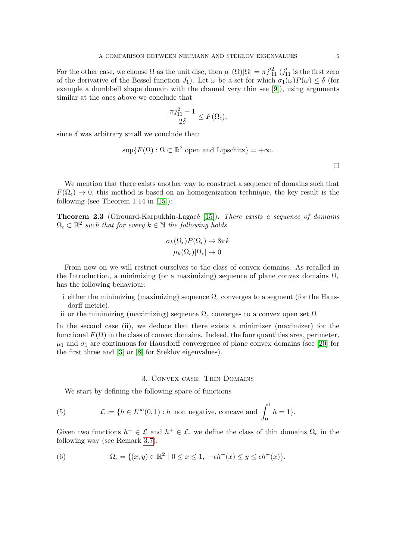For the other case, we choose  $\Omega$  as the unit disc, then  $\mu_1(\Omega)|\Omega| = \pi j'^{2}_{11} (j'_{11})$  is the first zero of the derivative of the Bessel function  $J_1$ ). Let  $\omega$  be a set for which  $\sigma_1(\omega)P(\omega) \leq \delta$  (for example a dumbbell shape domain with the channel very thin see [\[9\]](#page-28-12)), using arguments similar at the ones above we conclude that

$$
\frac{\pi j_{11}^2 - 1}{2\delta} \le F(\Omega_{\epsilon}),
$$

since  $\delta$  was arbitrary small we conclude that:

$$
\sup\{F(\Omega):\Omega\subset\mathbb{R}^2\text{ open and Lipschitz}\} = +\infty.
$$

 $\Box$ 

We mention that there exists another way to construct a sequence of domains such that  $F(\Omega_{\epsilon}) \to 0$ , this method is based on an homogenization technique, the key result is the following (see Theorem 1.14 in [\[15\]](#page-28-1)):

**Theorem 2.3** (Girouard-Karpukhin-Lagacé [\[15\]](#page-28-1)). There exists a sequence of domains  $\Omega_{\epsilon} \subset \mathbb{R}^2$  such that for every  $k \in \mathbb{N}$  the following holds

$$
\sigma_k(\Omega_{\epsilon}) P(\Omega_{\epsilon}) \to 8\pi k
$$

$$
\mu_k(\Omega_{\epsilon}) |\Omega_{\epsilon}| \to 0
$$

From now on we will restrict ourselves to the class of convex domains. As recalled in the Introduction, a minimizing (or a maximizing) sequence of plane convex domains  $\Omega_{\epsilon}$ has the following behaviour:

- i either the minimizing (maximizing) sequence  $\Omega_{\epsilon}$  converges to a segment (for the Hausdorff metric).
- ii or the minimizing (maximizing) sequence  $\Omega_{\epsilon}$  converges to a convex open set  $\Omega$

In the second case (ii), we deduce that there exists a minimizer (maximizer) for the functional  $F(\Omega)$  in the class of convex domains. Indeed, the four quantities area, perimeter,  $\mu_1$  and  $\sigma_1$  are continuous for Hausdorff convergence of plane convex domains (see [\[20\]](#page-28-10) for the first three and [\[3\]](#page-27-2) or [\[8\]](#page-28-13) for Steklov eigenvalues).

#### 3. Convex case: Thin Domains

<span id="page-4-0"></span>We start by defining the following space of functions

(5) 
$$
\mathcal{L} := \{ h \in L^{\infty}(0,1) : h \text{ non negative, concave and } \int_0^1 h = 1 \}.
$$

Given two functions  $h^- \in \mathcal{L}$  and  $h^+ \in \mathcal{L}$ , we define the class of thin domains  $\Omega_{\epsilon}$  in the following way (see Remark [3.7\)](#page-11-0):

<span id="page-4-1"></span>(6) 
$$
\Omega_{\epsilon} = \{(x, y) \in \mathbb{R}^2 \mid 0 \le x \le 1, -\epsilon h^-(x) \le y \le \epsilon h^+(x)\}.
$$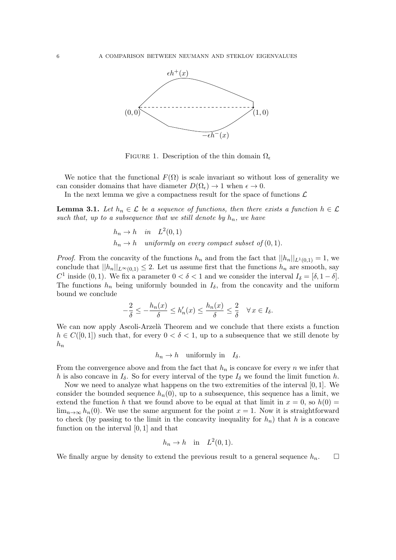

FIGURE 1. Description of the thin domain  $\Omega_{\epsilon}$ 

We notice that the functional  $F(\Omega)$  is scale invariant so without loss of generality we can consider domains that have diameter  $D(\Omega_{\epsilon}) \to 1$  when  $\epsilon \to 0$ .

In the next lemma we give a compactness result for the space of functions  $\mathcal{L}$ 

<span id="page-5-0"></span>**Lemma 3.1.** Let  $h_n \in \mathcal{L}$  be a sequence of functions, then there exists a function  $h \in \mathcal{L}$ such that, up to a subsequence that we still denote by  $h_n$ , we have

$$
h_n \to h
$$
 in  $L^2(0, 1)$   
\n $h_n \to h$  uniformly on every compact subset of (0, 1).

*Proof.* From the concavity of the functions  $h_n$  and from the fact that  $||h_n||_{L^1(0,1)} = 1$ , we conclude that  $||h_n||_{L^{\infty}(0,1)} \leq 2$ . Let us assume first that the functions  $h_n$  are smooth, say C<sup>1</sup> inside (0, 1). We fix a parameter  $0 < \delta < 1$  and we consider the interval  $I_{\delta} = [\delta, 1 - \delta]$ . The functions  $h_n$  being uniformly bounded in  $I_\delta$ , from the concavity and the uniform bound we conclude

$$
-\frac{2}{\delta} \le -\frac{h_n(x)}{\delta} \le h'_n(x) \le \frac{h_n(x)}{\delta} \le \frac{2}{\delta} \quad \forall \, x \in I_\delta.
$$

We can now apply Ascoli-Arzelà Theorem and we conclude that there exists a function  $h \in C([0,1])$  such that, for every  $0 < \delta < 1$ , up to a subsequence that we still denote by  $h_n$ 

$$
h_n \to h
$$
 uniformly in  $I_\delta$ .

From the convergence above and from the fact that  $h_n$  is concave for every n we infer that h is also concave in  $I_{\delta}$ . So for every interval of the type  $I_{\delta}$  we found the limit function h.

Now we need to analyze what happens on the two extremities of the interval  $[0, 1]$ . We consider the bounded sequence  $h_n(0)$ , up to a subsequence, this sequence has a limit, we extend the function h that we found above to be equal at that limit in  $x = 0$ , so  $h(0) =$  $\lim_{n\to\infty} h_n(0)$ . We use the same argument for the point  $x=1$ . Now it is straightforward to check (by passing to the limit in the concavity inequality for  $h_n$ ) that h is a concave function on the interval [0, 1] and that

$$
h_n \to h \quad \text{in} \quad L^2(0,1).
$$

We finally argue by density to extend the previous result to a general sequence  $h_n$ .  $\Box$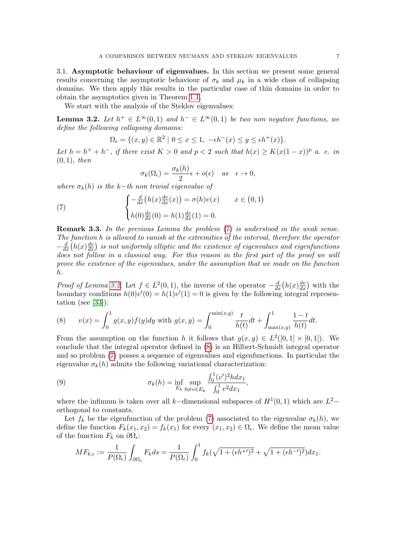<span id="page-6-0"></span>3.1. Asymptotic behaviour of eigenvalues. In this section we present some general results concerning the asymptotic behaviour of  $\sigma_k$  and  $\mu_k$  in a wide class of collapsing domains. We then apply this results in the particular case of thin domains in order to obtain the asymptotics given in Theorem [1.1.](#page-2-0)

We start with the analysis of the Steklov eigenvalues:

<span id="page-6-1"></span>**Lemma 3.2.** Let  $h^+ \in L^{\infty}(0,1)$  and  $h^- \in L^{\infty}(0,1)$  be two non negative functions, we define the following collapsing domains:

$$
\Omega_{\epsilon} = \{ (x, y) \in \mathbb{R}^2 \mid 0 \le x \le 1, \ -\epsilon h^-(x) \le y \le \epsilon h^+(x) \}.
$$

Let  $h = h^+ + h^-$ , if there exist  $K > 0$  and  $p < 2$  such that  $h(x) \geq K(x(1-x))^p$  a. e. in  $(0, 1)$ , then

<span id="page-6-2"></span>
$$
\sigma_k(\Omega_\epsilon) = \frac{\sigma_k(h)}{2}\epsilon + o(\epsilon) \quad \text{as} \quad \epsilon \to 0,
$$

where  $\sigma_k(h)$  is the k−th non trivial eigenvalue of

(7) 
$$
\begin{cases} -\frac{d}{dx}(h(x)\frac{dv}{dx}(x)) = \sigma(h)v(x) & x \in (0,1) \\ h(0)\frac{dv}{dx}(0) = h(1)\frac{dv}{dx}(1) = 0. \end{cases}
$$

Remark 3.3. In the previous Lemma the problem [\(7\)](#page-6-2) is understood in the weak sense. The function h is allowed to vanish at the extremities of the interval, therefore the operator  $-\frac{d}{dx}\left(h(x)\frac{dv}{dx}\right)$  is not uniformly elliptic and the existence of eigenvalues and eigenfunctions does not follow in a classical way. For this reason in the first part of the proof we will prove the existence of the eigenvalues, under the assumption that we made on the function h.

*Proof of Lemma [3.2.](#page-6-1)* Let  $f \in L^2(0,1)$ , the inverse of the operator  $-\frac{d}{dx}(h(x)\frac{dv}{dx})$  with the boundary conditions  $h(0)v'(0) = h(1)v'(1) = 0$  is given by the following integral representation (see [\[33\]](#page-29-1)):

<span id="page-6-3"></span>(8) 
$$
v(x) = \int_0^1 g(x, y) f(y) dy \text{ with } g(x, y) = \int_0^{\min(x, y)} \frac{t}{h(t)} dt + \int_{\max(x, y)}^1 \frac{1 - t}{h(t)} dt.
$$

From the assumption on the function h it follows that  $g(x, y) \in L^2([0,1] \times [0,1])$ . We conclude that the integral operator defined in [\(8\)](#page-6-3) is an Hilbert-Schmidt integral operator and so problem [\(7\)](#page-6-2) posses a sequence of eigenvalues and eigenfunctions. In particular the eigenvalue  $\sigma_k(h)$  admits the following variational characterization:

<span id="page-6-4"></span>(9) 
$$
\sigma_k(h) = \inf_{E_k} \sup_{0 \neq v \in E_k} \frac{\int_0^1 (v')^2 h dx_1}{\int_0^1 v^2 dx_1},
$$

where the infimum is taken over all k–dimensional subspaces of  $H^1(0,1)$  which are  $L^2$ orthogonal to constants.

Let  $f_k$  be the eigenfunction of the problem [\(7\)](#page-6-2) associated to the eigenvalue  $\sigma_k(h)$ , we define the function  $F_k(x_1, x_2) = f_k(x_1)$  for every  $(x_1, x_2) \in \Omega_{\epsilon}$ . We define the mean value of the function  $F_k$  on  $\partial\Omega_{\epsilon}$ :

$$
MF_{k,\epsilon} := \frac{1}{P(\Omega_{\epsilon})} \int_{\partial \Omega_{\epsilon}} F_k ds = \frac{1}{P(\Omega_{\epsilon})} \int_0^1 f_k(\sqrt{1 + (\epsilon h^{+})^2} + \sqrt{1 + (\epsilon h^{-})^2}) dx_1.
$$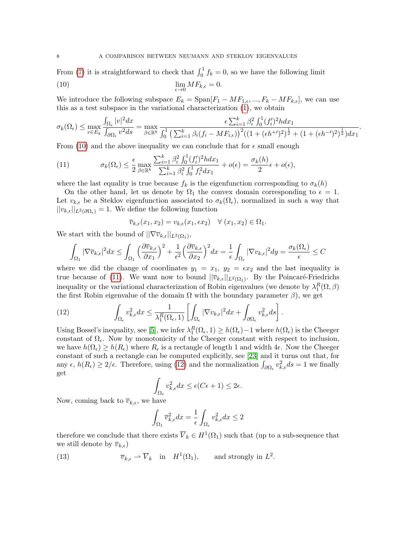<span id="page-7-0"></span>From [\(7\)](#page-6-2) it is straightforward to check that  $\int_0^1 f_k = 0$ , so we have the following limit  $(10)$  lim  $\lim_{\epsilon \to 0} M F_{k,\epsilon} = 0.$ 

We introduce the following subspace  $E_k = \text{Span}[F_1 - MF_{1,\epsilon},..., F_k - MF_{k,\epsilon}],$  we can use this as a test subspace in the variational characterization [\(1\)](#page-1-0), we obtain

$$
\sigma_k(\Omega_{\epsilon}) \le \max_{v \in E_k} \frac{\int_{\Omega_{\epsilon}} |v|^2 dx}{\int_{\partial \Omega_{\epsilon}} v^2 ds} = \max_{\beta \in \mathbb{R}^k} \frac{\epsilon \sum_{i=1}^k \beta_i^2 \int_0^1 (f_i')^2 h dx_1}{\int_0^1 \left(\sum_{i=1}^k \beta_i (f_i - M F_{i,\epsilon})\right)^2 \left((1 + (\epsilon h^{+t})^2)^{\frac{1}{2}} + (1 + (\epsilon h^{-t})^2)^{\frac{1}{2}}\right) dx_1}.
$$

From [\(10\)](#page-7-0) and the above inequality we can conclude that for  $\epsilon$  small enough

<span id="page-7-1"></span>(11) 
$$
\sigma_k(\Omega_{\epsilon}) \leq \frac{\epsilon}{2} \max_{\beta \in \mathbb{R}^k} \frac{\sum_{i=1}^k \beta_i^2 \int_0^1 (f_i')^2 h dx_1}{\sum_{i=1}^k \beta_i^2 \int_0^1 f_i^2 dx_1} + o(\epsilon) = \frac{\sigma_k(h)}{2} \epsilon + o(\epsilon),
$$

where the last equality is true because  $f_k$  is the eigenfunction corresponding to  $\sigma_k(h)$ 

On the other hand, let us denote by  $\Omega_1$  the convex domain corresponding to  $\epsilon = 1$ . Let  $v_{k,\epsilon}$  be a Steklov eigenfunction associated to  $\sigma_k(\Omega_{\epsilon})$ , normalized in such a way that  $||v_{k,\epsilon}||_{L^2(\partial\Omega_{\epsilon})}=1.$  We define the following function

$$
\overline{v}_{k,\epsilon}(x_1,x_2)=v_{k,\epsilon}(x_1,\epsilon x_2) \quad \forall (x_1,x_2) \in \Omega_1.
$$

We start with the bound of  $||\nabla \overline{v}_{k,\epsilon}||_{L^2(\Omega_1)}$ ,

$$
\int_{\Omega_1} |\nabla \overline{v}_{k,\epsilon}|^2 dx \le \int_{\Omega_1} \left(\frac{\partial \overline{v}_{k,\epsilon}}{\partial x_1}\right)^2 + \frac{1}{\epsilon^2} \left(\frac{\partial \overline{v}_{k,\epsilon}}{\partial x_2}\right)^2 dx = \frac{1}{\epsilon} \int_{\Omega_{\epsilon}} |\nabla v_{k,\epsilon}|^2 dy = \frac{\sigma_k(\Omega_{\epsilon})}{\epsilon} \le C
$$

where we did the change of coordinates  $y_1 = x_1, y_2 = \epsilon x_2$  and the last inequality is true because of [\(11\)](#page-7-1). We want now to bound  $||\overline{v}_{k,\epsilon}||_{L^2(\Omega_1)}$ . By the Poincaré-Friedrichs inequality or the variational characterization of Robin eigenvalues (we denote by  $\lambda_1^R(\Omega,\beta)$ the first Robin eigenvalue of the domain  $\Omega$  with the boundary parameter  $\beta$ ), we get

<span id="page-7-2"></span>(12) 
$$
\int_{\Omega_{\epsilon}} v_{k,\epsilon}^2 dx \leq \frac{1}{\lambda_1^R(\Omega_{\epsilon}, 1)} \left[ \int_{\Omega_{\epsilon}} |\nabla v_{k,\epsilon}|^2 dx + \int_{\partial \Omega_{\epsilon}} v_{k,\epsilon}^2 ds \right].
$$

Using Bossel's inequality, see [\[5\]](#page-28-14), we infer  $\lambda_1^R(\Omega_\epsilon, 1) \geq h(\Omega_\epsilon) - 1$  where  $h(\Omega_\epsilon)$  is the Cheeger constant of  $\Omega_{\epsilon}$ . Now by monotonicity of the Cheeger constant with respect to inclusion, we have  $h(\Omega_{\epsilon}) \geq h(R_{\epsilon})$  where  $R_{\epsilon}$  is a rectangle of length 1 and width 4 $\epsilon$ . Now the Cheeger constant of such a rectangle can be computed explicitly, see [\[23\]](#page-28-15) and it turns out that, for any  $\epsilon$ ,  $h(R_{\epsilon}) \geq 2/\epsilon$ . Therefore, using [\(12\)](#page-7-2) and the normalization  $\int_{\partial\Omega_{\epsilon}} v_{k,\epsilon}^2 ds = 1$  we finally get

$$
\int_{\Omega_{\epsilon}} v_{k,\epsilon}^2 dx \le \epsilon (C\epsilon + 1) \le 2\epsilon.
$$

Now, coming back to  $\overline{v}_{k,\epsilon}$ , we have

<span id="page-7-3"></span>
$$
\int_{\Omega_1} \overline{v}_{k,\epsilon}^2 dx = \frac{1}{\epsilon} \int_{\Omega_{\epsilon}} v_{k,\epsilon}^2 dx \le 2
$$

therefore we conclude that there exists  $\overline{V}_k \in H^1(\Omega_1)$  such that (up to a sub-sequence that we still denote by  $\overline{v}_{k,\epsilon}$ )

(13)  $\overline{v}_{k,\epsilon} \rightharpoonup \overline{V}_k$  in  $H^1(\Omega_1)$ , and strongly in  $L^2$ .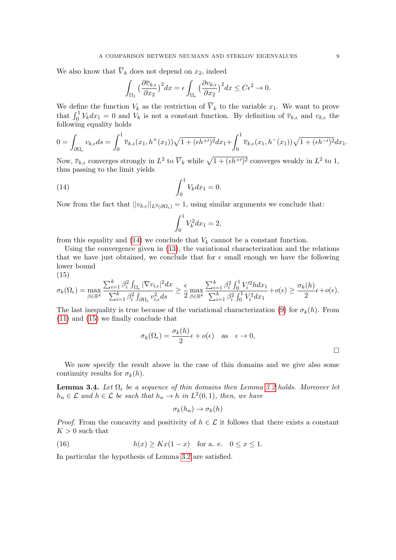We also know that  $\overline{V}_k$  does not depend on  $x_2$ , indeed

$$
\int_{\Omega_1} \left(\frac{\partial \overline{v}_{k,\epsilon}}{\partial x_2}\right)^2 dx = \epsilon \int_{\Omega_\epsilon} \left(\frac{\partial v_{k,\epsilon}}{\partial x_2}\right)^2 dx \le C\epsilon^2 \to 0.
$$

We define the function  $V_k$  as the restriction of  $\overline{V}_k$  to the variable  $x_1$ . We want to prove that  $\int_0^1 V_k dx_1 = 0$  and  $V_k$  is not a constant function. By definition of  $\overline{v}_{k,\epsilon}$  and  $v_{k,\epsilon}$  the following equality holds

$$
0 = \int_{\partial\Omega_{\epsilon}} v_{k,\epsilon} ds = \int_0^1 \overline{v}_{k,\epsilon}(x_1, h^+(x_1)) \sqrt{1 + (\epsilon h^{+})^2} dx_1 + \int_0^1 \overline{v}_{k,\epsilon}(x_1, h^-(x_1)) \sqrt{1 + (\epsilon h^{-})^2} dx_1.
$$

Now,  $\overline{v}_{k,\epsilon}$  converges strongly in  $L^2$  to  $\overline{V}_k$  while  $\sqrt{1 + (\epsilon h^{+\prime})^2}$  converges weakly in  $L^2$  to 1, thus passing to the limit yields

(14) 
$$
\int_0^1 V_k dx_1 = 0.
$$

Now from the fact that  $||v_{k,\epsilon}||_{L^2(\partial\Omega_{\epsilon})} = 1$ , using similar arguments we conclude that:

<span id="page-8-0"></span>
$$
\int_0^1 V_k^2 dx_1 = 2,
$$

from this equality and [\(14\)](#page-8-0) we conclude that  $V_k$  cannot be a constant function.

Using the convergence given in [\(13\)](#page-7-3), the variational characterization and the relations that we have just obtained, we conclude that for  $\epsilon$  small enough we have the following lower bound

$$
(15)
$$

<span id="page-8-1"></span>
$$
\sigma_k(\Omega_{\epsilon}) = \max_{\beta \in \mathbb{R}^k} \frac{\sum_{i=1}^k \beta_i^2 \int_{\Omega_{\epsilon}} |\nabla v_{i,\epsilon}|^2 dx}{\sum_{i=1}^k \beta_i^2 \int_{\partial \Omega_{\epsilon}} v_{i,\epsilon}^2 ds} \geq \frac{\epsilon}{2} \max_{\beta \in \mathbb{R}^k} \frac{\sum_{i=1}^k \beta_i^2 \int_0^1 V_i'^2 h dx_1}{\sum_{i=1}^k \beta_i^2 \int_0^1 V_i^2 dx_1} + o(\epsilon) \geq \frac{\sigma_k(h)}{2} \epsilon + o(\epsilon).
$$

The last inequality is true because of the variational characterization [\(9\)](#page-6-4) for  $\sigma_k(h)$ . From [\(11\)](#page-7-1) and [\(15\)](#page-8-1) we finally conclude that

$$
\sigma_k(\Omega_{\epsilon}) = \frac{\sigma_k(h)}{2} \epsilon + o(\epsilon) \quad \text{as} \quad \epsilon \to 0,
$$

We now specify the result above in the case of thin domains and we give also some continuity results for  $\sigma_k(h)$ .

<span id="page-8-3"></span>**Lemma 3.4.** Let  $\Omega_{\epsilon}$  be a sequence of thin domains then Lemma [3.2](#page-6-1) holds. Moreover let  $h_n \in \mathcal{L}$  and  $h \in \mathcal{L}$  be such that  $h_n \to h$  in  $L^2(0,1)$ , then, we have

<span id="page-8-2"></span>
$$
\sigma_k(h_n) \to \sigma_k(h)
$$

*Proof.* From the concavity and positivity of  $h \in \mathcal{L}$  it follows that there exists a constant  $K > 0$  such that

(16) 
$$
h(x) \geq Kx(1-x) \text{ for a. e. } 0 \leq x \leq 1.
$$

In particular the hypothesis of Lemma [3.2](#page-6-1) are satisfied.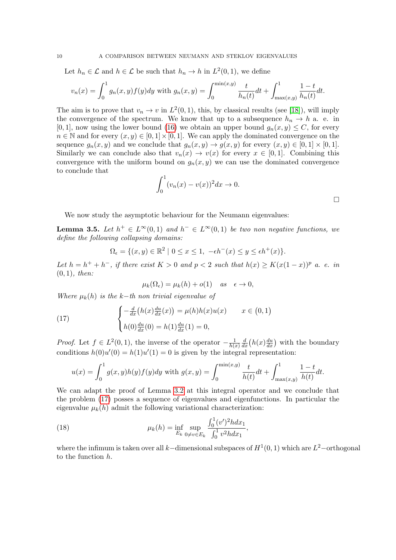Let  $h_n \in \mathcal{L}$  and  $h \in \mathcal{L}$  be such that  $h_n \to h$  in  $L^2(0,1)$ , we define

$$
v_n(x) = \int_0^1 g_n(x, y) f(y) dy
$$
 with  $g_n(x, y) = \int_0^{\min(x, y)} \frac{t}{h_n(t)} dt + \int_{\max(x, y)}^1 \frac{1 - t}{h_n(t)} dt.$ 

The aim is to prove that  $v_n \to v$  in  $L^2(0,1)$ , this, by classical results (see [\[18\]](#page-28-16)), will imply the convergence of the spectrum. We know that up to a subsequence  $h_n \to h$  a. e. in [0, 1], now using the lower bound [\(16\)](#page-8-2) we obtain an upper bound  $g_n(x, y) \leq C$ , for every  $n \in \mathbb{N}$  and for every  $(x, y) \in [0, 1] \times [0, 1]$ . We can apply the dominated convergence on the sequence  $g_n(x, y)$  and we conclude that  $g_n(x, y) \to g(x, y)$  for every  $(x, y) \in [0, 1] \times [0, 1]$ . Similarly we can conclude also that  $v_n(x) \to v(x)$  for every  $x \in [0,1]$ . Combining this convergence with the uniform bound on  $g_n(x, y)$  we can use the dominated convergence to conclude that

$$
\int_0^1 (v_n(x) - v(x))^2 dx \to 0.
$$

We now study the asymptotic behaviour for the Neumann eigenvalues:

<span id="page-9-0"></span>**Lemma 3.5.** Let  $h^+ \in L^{\infty}(0,1)$  and  $h^- \in L^{\infty}(0,1)$  be two non negative functions, we define the following collapsing domains:

$$
\Omega_{\epsilon} = \{ (x, y) \in \mathbb{R}^2 \mid 0 \le x \le 1, \ -\epsilon h^-(x) \le y \le \epsilon h^+(x) \}.
$$

Let  $h = h^+ + h^-$ , if there exist  $K > 0$  and  $p < 2$  such that  $h(x) \geq K(x(1-x))^p$  a. e. in  $(0, 1)$ , then:

<span id="page-9-1"></span>
$$
\mu_k(\Omega_\epsilon) = \mu_k(h) + o(1) \quad \text{as} \quad \epsilon \to 0,
$$

Where  $\mu_k(h)$  is the k−th non trivial eigenvalue of

(17) 
$$
\begin{cases} -\frac{d}{dx}(h(x)\frac{du}{dx}(x)) = \mu(h)h(x)u(x) & x \in (0,1) \\ h(0)\frac{du}{dx}(0) = h(1)\frac{du}{dx}(1) = 0, \end{cases}
$$

*Proof.* Let  $f \in L^2(0,1)$ , the inverse of the operator  $-\frac{1}{h\ell}$  $h(x)$  $\frac{d}{dx}\left(h(x)\frac{du}{dx}\right)$  with the boundary conditions  $h(0)u'(0) = h(1)u'(1) = 0$  is given by the integral representation:

$$
u(x) = \int_0^1 g(x, y)h(y)f(y)dy
$$
 with  $g(x, y) = \int_0^{\min(x, y)} \frac{t}{h(t)}dt + \int_{\max(x, y)}^1 \frac{1-t}{h(t)}dt.$ 

We can adapt the proof of Lemma [3.2](#page-6-1) at this integral operator and we conclude that the problem [\(17\)](#page-9-1) posses a sequence of eigenvalues and eigenfunctions. In particular the eigenvalue  $\mu_k(h)$  admit the following variational characterization:

<span id="page-9-2"></span>(18) 
$$
\mu_k(h) = \inf_{E_k} \sup_{0 \neq v \in E_k} \frac{\int_0^1 (v')^2 h dx_1}{\int_0^1 v^2 h dx_1},
$$

where the infimum is taken over all k–dimensional subspaces of  $H^1(0,1)$  which are  $L^2$ –orthogonal to the function h.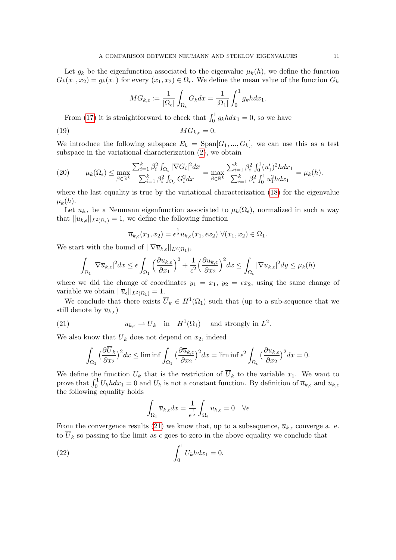Let  $g_k$  be the eigenfunction associated to the eigenvalue  $\mu_k(h)$ , we define the function  $G_k(x_1, x_2) = g_k(x_1)$  for every  $(x_1, x_2) \in \Omega_{\epsilon}$ . We define the mean value of the function  $G_k$ 

$$
MG_{k,\epsilon} := \frac{1}{|\Omega_{\epsilon}|} \int_{\Omega_{\epsilon}} G_k dx = \frac{1}{|\Omega_1|} \int_0^1 g_k h dx_1.
$$

From [\(17\)](#page-9-1) it is straightforward to check that  $\int_0^1 g_k h dx_1 = 0$ , so we have

(19) MGk, = 0.

We introduce the following subspace  $E_k = \text{Span}[G_1, ..., G_k]$ , we can use this as a test subspace in the variational characterization [\(2\)](#page-1-1), we obtain

<span id="page-10-2"></span>(20) 
$$
\mu_k(\Omega_{\epsilon}) \leq \max_{\beta \in \mathbb{R}^k} \frac{\sum_{i=1}^k \beta_i^2 \int_{\Omega_{\epsilon}} |\nabla G_i|^2 dx}{\sum_{i=1}^k \beta_i^2 \int_{\Omega_{\epsilon}} G_i^2 dx} = \max_{\beta \in \mathbb{R}^k} \frac{\sum_{i=1}^k \beta_i^2 \int_0^1 (u'_1)^2 h dx_1}{\sum_{i=1}^k \beta_i^2 \int_0^1 u_1^2 h dx_1} = \mu_k(h).
$$

where the last equality is true by the variational characterization [\(18\)](#page-9-2) for the eigenvalue  $\mu_k(h)$ .

Let  $u_{k,\epsilon}$  be a Neumann eigenfunction associated to  $\mu_k(\Omega_{\epsilon})$ , normalized in such a way that  $||u_{k,\epsilon}||_{L^2(\Omega_{\epsilon})} = 1$ , we define the following function

$$
\overline{u}_{k,\epsilon}(x_1, x_2) = \epsilon^{\frac{1}{2}} u_{k,\epsilon}(x_1, \epsilon x_2) \ \forall (x_1, x_2) \in \Omega_1.
$$

We start with the bound of  $||\nabla \overline{u}_{k,\epsilon}||_{L^2(\Omega_1)}$ ,

$$
\int_{\Omega_1} |\nabla \overline{u}_{k,\epsilon}|^2 dx \le \epsilon \int_{\Omega_1} \left(\frac{\partial u_{k,\epsilon}}{\partial x_1}\right)^2 + \frac{1}{\epsilon^2} \left(\frac{\partial u_{k,\epsilon}}{\partial x_2}\right)^2 dx \le \int_{\Omega_\epsilon} |\nabla u_{k,\epsilon}|^2 dy \le \mu_k(h)
$$

where we did the change of coordinates  $y_1 = x_1, y_2 = \epsilon x_2$ , using the same change of variable we obtain  $||\overline{u}_{\epsilon}||_{L^2(\Omega_1)} = 1.$ 

We conclude that there exists  $\overline{U}_k \in H^1(\Omega_1)$  such that (up to a sub-sequence that we still denote by  $\overline{u}_{k,\epsilon}$ )

(21) 
$$
\overline{u}_{k,\epsilon} \rightharpoonup \overline{U}_k \quad \text{in} \quad H^1(\Omega_1) \quad \text{and strongly in } L^2.
$$

We also know that  $\overline{U}_k$  does not depend on  $x_2$ , indeed

<span id="page-10-0"></span>
$$
\int_{\Omega_1} \left(\frac{\partial \overline{U}_k}{\partial x_2}\right)^2 dx \le \liminf \int_{\Omega_1} \left(\frac{\partial \overline{u}_{k,\epsilon}}{\partial x_2}\right)^2 dx = \liminf \epsilon^2 \int_{\Omega_\epsilon} \left(\frac{\partial u_{k,\epsilon}}{\partial x_2}\right)^2 dx = 0.
$$

We define the function  $U_k$  that is the restriction of  $\overline{U}_k$  to the variable  $x_1$ . We want to prove that  $\int_0^1 U_k h dx_1 = 0$  and  $U_k$  is not a constant function. By definition of  $\overline{u}_{k,\epsilon}$  and  $u_{k,\epsilon}$ the following equality holds

<span id="page-10-1"></span>
$$
\int_{\Omega_1} \overline{u}_{k,\epsilon} dx = \frac{1}{\epsilon^{\frac{1}{2}}} \int_{\Omega_{\epsilon}} u_{k,\epsilon} = 0 \quad \forall \epsilon
$$

From the convergence results [\(21\)](#page-10-0) we know that, up to a subsequence,  $\overline{u}_{k,\epsilon}$  converge a. e. to  $\overline{U}_k$  so passing to the limit as  $\epsilon$  goes to zero in the above equality we conclude that

(22) 
$$
\int_0^1 U_k h dx_1 = 0.
$$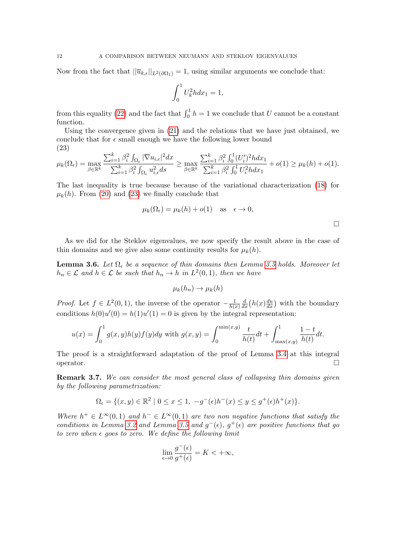Now from the fact that  $||\overline{u}_{k,\epsilon}||_{L^2(\partial\Omega_1)} = 1$ , using similar arguments we conclude that:

$$
\int_0^1 U_k^2 h dx_1 = 1,
$$

from this equality [\(22\)](#page-10-1) and the fact that  $\int_0^1 h = 1$  we conclude that U cannot be a constant function.

Using the convergence given in [\(21\)](#page-10-0) and the relations that we have just obtained, we conclude that for  $\epsilon$  small enough we have the following lower bound (23)

<span id="page-11-1"></span>
$$
\mu_k(\Omega_{\epsilon}) = \max_{\beta \in \mathbb{R}^k} \frac{\sum_{i=1}^k \beta_i^2 \int_{\Omega_{\epsilon}} |\nabla u_{i,\epsilon}|^2 dx}{\sum_{i=1}^k \beta_i^2 \int_{\Omega_{\epsilon}} u_{i,\epsilon}^2 ds} \ge \max_{\beta \in \mathbb{R}^k} \frac{\sum_{i=1}^k \beta_i^2 \int_0^1 (U_i')^2 h dx_1}{\sum_{i=1}^k \beta_i^2 \int_0^1 U_i^2 h dx_1} + o(1) \ge \mu_k(h) + o(1).
$$

The last inequality is true because because of the variational characterization [\(18\)](#page-9-2) for  $\mu_k(h)$ . From [\(20\)](#page-10-2) and [\(23\)](#page-11-1) we finally conclude that

$$
\mu_k(\Omega_{\epsilon}) = \mu_k(h) + o(1) \quad \text{as} \quad \epsilon \to 0,
$$

As we did for the Steklov eigenvalues, we now specify the result above in the case of thin domains and we give also some continuity results for  $\mu_k(h)$ .

<span id="page-11-2"></span>**Lemma 3.6.** Let  $\Omega_{\epsilon}$  be a sequence of thin domains then Lemma [3.5](#page-9-0) holds. Moreover let  $h_n \in \mathcal{L}$  and  $h \in \mathcal{L}$  be such that  $h_n \to h$  in  $L^2(0,1)$ , then we have

$$
\mu_k(h_n) \to \mu_k(h)
$$

*Proof.* Let  $f \in L^2(0,1)$ , the inverse of the operator  $-\frac{1}{h\ell}$  $h(x)$  $\frac{d}{dx}\left(h(x)\frac{du}{dx}\right)$  with the boundary conditions  $h(0)u'(0) = h(1)u'(1) = 0$  is given by the integral representation:

$$
u(x) = \int_0^1 g(x, y)h(y)f(y)dy
$$
 with  $g(x, y) = \int_0^{\min(x, y)} \frac{t}{h(t)}dt + \int_{\max(x, y)}^1 \frac{1-t}{h(t)}dt.$ 

The proof is a straightforward adaptation of the proof of Lemma [3.4](#page-8-3) at this integral operator.

<span id="page-11-0"></span>Remark 3.7. We can consider the most general class of collapsing thin domains given by the following parametrization:

$$
\Omega_{\epsilon} = \{ (x, y) \in \mathbb{R}^2 \mid 0 \le x \le 1, \ -g^-(\epsilon)h^-(x) \le y \le g^+(\epsilon)h^+(x) \}.
$$

Where  $h^+ \in L^{\infty}(0,1)$  and  $h^- \in L^{\infty}(0,1)$  are two non negative functions that satisfy the conditions in Lemma [3.2](#page-6-1) and Lemma [3.5](#page-9-0) and  $g^-(\epsilon)$ ,  $g^+(\epsilon)$  are positive functions that go to zero when  $\epsilon$  goes to zero. We define the following limit

$$
\lim_{\epsilon \to 0} \frac{g^-(\epsilon)}{g^+(\epsilon)} = K < +\infty,
$$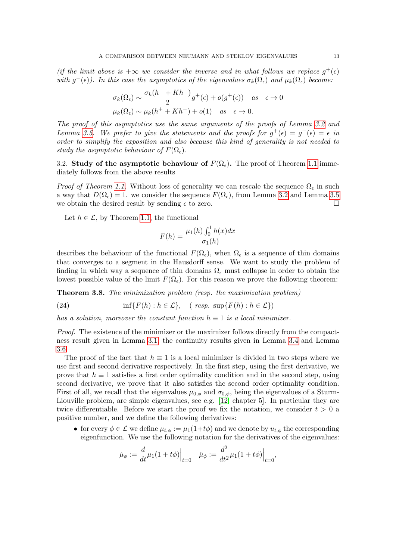(if the limit above is  $+\infty$  we consider the inverse and in what follows we replace  $g^+(\epsilon)$ with  $g^-(\epsilon)$ ). In this case the asymptotics of the eigenvalues  $\sigma_k(\Omega_{\epsilon})$  and  $\mu_k(\Omega_{\epsilon})$  become:

$$
\sigma_k(\Omega_{\epsilon}) \sim \frac{\sigma_k(h^+ + Kh^-)}{2}g^+(\epsilon) + o(g^+(\epsilon)) \quad \text{as} \quad \epsilon \to 0
$$
  

$$
\mu_k(\Omega_{\epsilon}) \sim \mu_k(h^+ + Kh^-) + o(1) \quad \text{as} \quad \epsilon \to 0.
$$

The proof of this asymptotics use the same arguments of the proofs of Lemma [3.2](#page-6-1) and Lemma [3.5.](#page-9-0) We prefer to give the statements and the proofs for  $g^+(\epsilon) = g^-(\epsilon) = \epsilon$  in order to simplify the exposition and also because this kind of generality is not needed to study the asymptotic behaviour of  $F(\Omega_{\epsilon})$ .

<span id="page-12-0"></span>3.2. Study of the asymptotic behaviour of  $F(\Omega_{\epsilon})$ . The proof of Theorem [1.1](#page-2-0) immediately follows from the above results

*Proof of Theorem [1.1.](#page-2-0)* Without loss of generality we can rescale the sequence  $\Omega_{\epsilon}$  in such a way that  $D(\Omega_{\epsilon}) = 1$ . we consider the sequence  $F(\Omega_{\epsilon})$ , from Lemma [3.2](#page-6-1) and Lemma [3.5](#page-9-0) we obtain the desired result by sending  $\epsilon$  to zero.

Let  $h \in \mathcal{L}$ , by Theorem [1.1,](#page-2-0) the functional

$$
F(h) = \frac{\mu_1(h) \int_0^1 h(x) dx}{\sigma_1(h)}
$$

describes the behaviour of the functional  $F(\Omega_{\epsilon})$ , when  $\Omega_{\epsilon}$  is a sequence of thin domains that converges to a segment in the Hausdorff sense. We want to study the problem of finding in which way a sequence of thin domains  $\Omega_{\epsilon}$  must collapse in order to obtain the lowest possible value of the limit  $F(\Omega_{\epsilon})$ . For this reason we prove the following theorem:

<span id="page-12-1"></span>Theorem 3.8. The minimization problem (resp. the maximization problem)

(24) 
$$
\inf\{F(h) : h \in \mathcal{L}\}, \quad (\text{ resp. } \sup\{F(h) : h \in \mathcal{L}\})
$$

has a solution, moreover the constant function  $h \equiv 1$  is a local minimizer.

Proof. The existence of the minimizer or the maximizer follows directly from the compactness result given in Lemma [3.1,](#page-5-0) the continuity results given in Lemma [3.4](#page-8-3) and Lemma [3.6.](#page-11-2)

The proof of the fact that  $h \equiv 1$  is a local minimizer is divided in two steps where we use first and second derivative respectively. In the first step, using the first derivative, we prove that  $h \equiv 1$  satisfies a first order optimality condition and in the second step, using second derivative, we prove that it also satisfies the second order optimality condition. First of all, we recall that the eigenvalues  $\mu_{0,\phi}$  and  $\sigma_{0,\phi}$ , being the eigenvalues of a Sturm-Liouville problem, are simple eigenvalues, see e.g. [\[12,](#page-28-17) chapter 5]. In particular they are twice differentiable. Before we start the proof we fix the notation, we consider  $t > 0$  a positive number, and we define the following derivatives:

• for every  $\phi \in \mathcal{L}$  we define  $\mu_{t,\phi} := \mu_1(1+t\phi)$  and we denote by  $u_{t,\phi}$  the corresponding eigenfunction. We use the following notation for the derivatives of the eigenvalues:

$$
\dot{\mu}_{\phi} := \frac{d}{dt} \mu_1 (1 + t\phi) \Big|_{t=0} \quad \ddot{\mu}_{\phi} := \frac{d^2}{dt^2} \mu_1 (1 + t\phi) \Big|_{t=0},
$$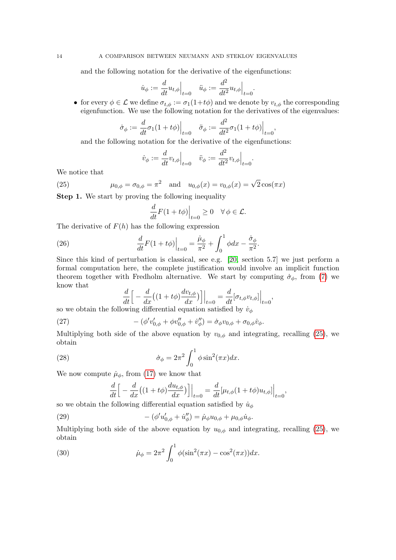and the following notation for the derivative of the eigenfunctions:

$$
\dot{u}_{\phi} := \frac{d}{dt} u_{t,\phi} \Big|_{t=0} \quad \ddot{u}_{\phi} := \frac{d^2}{dt^2} u_{t,\phi} \Big|_{t=0}.
$$

• for every  $\phi \in \mathcal{L}$  we define  $\sigma_{t,\phi} := \sigma_1(1+t\phi)$  and we denote by  $v_{t,\phi}$  the corresponding eigenfunction. We use the following notation for the derivatives of the eigenvalues:

$$
\dot{\sigma}_{\phi} := \frac{d}{dt}\sigma_1(1+t\phi)\Big|_{t=0} \quad \ddot{\sigma}_{\phi} := \frac{d^2}{dt^2}\sigma_1(1+t\phi)\Big|_{t=0},
$$

and the following notation for the derivative of the eigenfunctions:

<span id="page-13-0"></span>
$$
\dot{v}_{\phi} := \frac{d}{dt} v_{t,\phi} \Big|_{t=0} \quad \ddot{v}_{\phi} := \frac{d^2}{dt^2} v_{t,\phi} \Big|_{t=0}.
$$

We notice that

(25) 
$$
\mu_{0,\phi} = \sigma_{0,\phi} = \pi^2
$$
 and  $u_{0,\phi}(x) = v_{0,\phi}(x) = \sqrt{2}\cos(\pi x)$ 

Step 1. We start by proving the following inequality

<span id="page-13-3"></span>
$$
\frac{d}{dt}F(1+t\phi)\Big|_{t=0}\geq 0 \quad \forall \phi\in\mathcal{L}.
$$

The derivative of  $F(h)$  has the following expression

(26) 
$$
\frac{d}{dt}F(1+t\phi)\Big|_{t=0} = \frac{\dot{\mu}_{\phi}}{\pi^2} + \int_0^1 \phi dx - \frac{\dot{\sigma}_{\phi}}{\pi^2}.
$$

Since this kind of perturbation is classical, see e.g. [\[20,](#page-28-10) section 5.7] we just perform a formal computation here, the complete justification would involve an implicit function theorem together with Fredholm alternative. We start by computing  $\dot{\sigma}_{\phi}$ , from [\(7\)](#page-6-2) we know that

<span id="page-13-4"></span>
$$
\frac{d}{dt}\Big[-\frac{d}{dx}\big((1+t\phi)\frac{dv_{t,\phi}}{dx}\big)\Big]\Big|_{t=0} = \frac{d}{dt}[\sigma_{t,\phi}v_{t,\phi}]\Big|_{t=0},
$$

so we obtain the following differential equation satisfied by  $\dot{v}_\phi$ 

(27) 
$$
-(\phi'v'_{0,\phi} + \phi v''_{0,\phi} + \dot{v}''_{\phi}) = \dot{\sigma}_{\phi}v_{0,\phi} + \sigma_{0,\phi}\dot{v}_{\phi}.
$$

Multiplying both side of the above equation by  $v_{0,\phi}$  and integrating, recalling [\(25\)](#page-13-0), we obtain

(28) 
$$
\dot{\sigma}_{\phi} = 2\pi^2 \int_0^1 \phi \sin^2(\pi x) dx.
$$

We now compute  $\mu_{\phi}$ , from [\(17\)](#page-9-1) we know that

<span id="page-13-2"></span><span id="page-13-1"></span>
$$
\frac{d}{dt}\Big[-\frac{d}{dx}\big((1+t\phi)\frac{du_{t,\phi}}{dx}\big)\Big]\Big|_{t=0} = \frac{d}{dt}[\mu_{t,\phi}(1+t\phi)u_{t,\phi}]\Big|_{t=0},
$$

so we obtain the following differential equation satisfied by  $\dot{u}_{\phi}$ 

(29) 
$$
-(\phi' u'_{0,\phi} + \dot{u}''_{\phi}) = \dot{\mu}_{\phi} u_{0,\phi} + \mu_{0,\phi} \dot{u}_{\phi}.
$$

Multiplying both side of the above equation by  $u_{0,\phi}$  and integrating, recalling [\(25\)](#page-13-0), we obtain

(30) 
$$
\dot{\mu}_{\phi} = 2\pi^2 \int_0^1 \phi(\sin^2(\pi x) - \cos^2(\pi x)) dx.
$$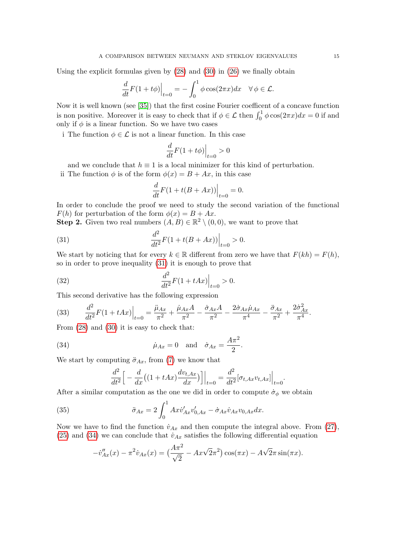Using the explicit formulas given by [\(28\)](#page-13-1) and [\(30\)](#page-13-2) in [\(26\)](#page-13-3) we finally obtain

$$
\frac{d}{dt}F(1+t\phi)\Big|_{t=0} = -\int_0^1 \phi \cos(2\pi x)dx \quad \forall \phi \in \mathcal{L}.
$$

Now it is well known (see [\[35\]](#page-29-2)) that the first cosine Fourier coefficent of a concave function is non positive. Moreover it is easy to check that if  $\phi \in \mathcal{L}$  then  $\int_0^1 \phi \cos(2\pi x) dx = 0$  if and only if  $\phi$  is a linear function. So we have two cases

i The function  $\phi \in \mathcal{L}$  is not a linear function. In this case

$$
\frac{d}{dt}F(1+t\phi)\Big|_{t=0}>0
$$

and we conclude that  $h \equiv 1$  is a local minimizer for this kind of perturbation.

ii The function  $\phi$  is of the form  $\phi(x) = B + Ax$ , in this case

<span id="page-14-0"></span>
$$
\frac{d}{dt}F(1+t(B+Ax))\Big|_{t=0} = 0.
$$

In order to conclude the proof we need to study the second variation of the functional  $F(h)$  for perturbation of the form  $\phi(x) = B + Ax$ .

**Step 2.** Given two real numbers  $(A, B) \in \mathbb{R}^2 \setminus (0, 0)$ , we want to prove that

(31) 
$$
\frac{d^2}{dt^2}F(1+t(B+Ax))\Big|_{t=0} > 0.
$$

We start by noticing that for every  $k \in \mathbb{R}$  different from zero we have that  $F(kh) = F(h)$ , so in order to prove inequality [\(31\)](#page-14-0) it is enough to prove that

(32) 
$$
\frac{d^2}{dt^2}F(1+tAx)\Big|_{t=0} > 0.
$$

This second derivative has the following expression

<span id="page-14-3"></span>(33) 
$$
\frac{d^2}{dt^2}F(1+tAx)\Big|_{t=0} = \frac{\ddot{\mu}_{Ax}}{\pi^2} + \frac{\dot{\mu}_{Ax}A}{\pi^2} - \frac{\dot{\sigma}_{Ax}A}{\pi^2} - \frac{2\dot{\sigma}_{Ax}\dot{\mu}_{Ax}}{\pi^4} - \frac{\ddot{\sigma}_{Ax}}{\pi^2} + \frac{2\dot{\sigma}_{Ax}^2}{\pi^4}.
$$

From [\(28\)](#page-13-1) and [\(30\)](#page-13-2) it is easy to check that:

(34) 
$$
\dot{\mu}_{Ax} = 0 \quad \text{and} \quad \dot{\sigma}_{Ax} = \frac{A\pi^2}{2}.
$$

We start by computing  $\ddot{\sigma}_{Ax}$ , from [\(7\)](#page-6-2) we know that

<span id="page-14-2"></span><span id="page-14-1"></span>
$$
\frac{d^2}{dt^2} \Big[ -\frac{d}{dx} \big( (1 + tAx) \frac{dv_{t, Ax}}{dx} \big) \Big] \Big|_{t=0} = \frac{d^2}{dt^2} [\sigma_{t, Ax} v_{t, Ax}] \Big|_{t=0}.
$$

After a similar computation as the one we did in order to compute  $\dot{\sigma}_{\phi}$  we obtain

(35) 
$$
\ddot{\sigma}_{Ax} = 2 \int_0^1 Ax \dot{v}'_{Ax} v'_{0,Ax} - \dot{\sigma}_{Ax} \dot{v}_{Ax} v_{0,Ax} dx.
$$

Now we have to find the function  $\dot{v}_{Ax}$  and then compute the integral above. From [\(27\)](#page-13-4), [\(25\)](#page-13-0) and [\(34\)](#page-14-1) we can conclude that  $\dot{v}_{Ax}$  satisfies the following differential equation

$$
- \dot{v}''_{Ax}(x) - \pi^2 \dot{v}_{Ax}(x) = \left(\frac{A\pi^2}{\sqrt{2}} - Ax\sqrt{2}\pi^2\right) \cos(\pi x) - A\sqrt{2}\pi \sin(\pi x).
$$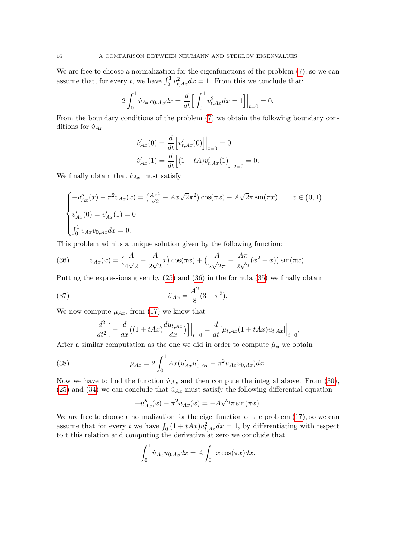We are free to choose a normalization for the eigenfunctions of the problem [\(7\)](#page-6-2), so we can assume that, for every t, we have  $\int_0^1 v_{t,Ax}^2 dx = 1$ . From this we conclude that:

$$
2\int_0^1 \dot{v}_{Ax}v_{0,Ax}dx = \frac{d}{dt}\Big[\int_0^1 v_{t,Ax}^2 dx = 1\Big]\Big|_{t=0} = 0.
$$

From the boundary conditions of the problem [\(7\)](#page-6-2) we obtain the following boundary conditions for  $\dot{v}_{Ax}$ 

$$
\dot{v}_{Ax}'(0) = \frac{d}{dt} \left[ v'_{t,Ax}(0) \right] \Big|_{t=0} = 0
$$
  

$$
\dot{v}_{Ax}'(1) = \frac{d}{dt} \left[ (1 + tA) v'_{t,Ax}(1) \right] \Big|_{t=0} = 0.
$$

We finally obtain that  $\dot{v}_{Ax}$  must satisfy

$$
\begin{cases}\n-i\frac{y}{Ax}(x) - \pi^2 \dot{v}_{Ax}(x) = \left(\frac{A\pi^2}{\sqrt{2}} - Ax\sqrt{2}\pi^2\right) \cos(\pi x) - A\sqrt{2}\pi \sin(\pi x) & x \in (0, 1) \\
\dot{v}_{Ax}'(0) = \dot{v}_{Ax}'(1) = 0 \\
\int_0^1 \dot{v}_{Ax} v_{0,Ax} dx = 0.\n\end{cases}
$$

This problem admits a unique solution given by the following function:

<span id="page-15-0"></span>(36) 
$$
\dot{v}_{Ax}(x) = \left(\frac{A}{4\sqrt{2}} - \frac{A}{2\sqrt{2}}x\right)\cos(\pi x) + \left(\frac{A}{2\sqrt{2}\pi} + \frac{A\pi}{2\sqrt{2}}(x^2 - x)\right)\sin(\pi x).
$$

Putting the expressions given by [\(25\)](#page-13-0) and [\(36\)](#page-15-0) in the formula [\(35\)](#page-14-2) we finally obtain

(37) 
$$
\ddot{\sigma}_{Ax} = \frac{A^2}{8}(3 - \pi^2).
$$

We now compute  $\mu_{Ax}$ , from [\(17\)](#page-9-1) we know that

<span id="page-15-2"></span>
$$
\frac{d^2}{dt^2} \Big[ -\frac{d}{dx} \big( (1 + tAx) \frac{du_{t, Ax}}{dx} \big) \Big] \Big|_{t=0} = \frac{d}{dt} \big[ \mu_{t, Ax} (1 + tAx) u_{t, Ax} \big] \Big|_{t=0},
$$

After a similar computation as the one we did in order to compute  $\mu_{\phi}$  we obtain

(38) 
$$
\ddot{\mu}_{Ax} = 2 \int_0^1 Ax (\dot{u}'_{Ax} u'_{0,Ax} - \pi^2 \dot{u}_{Ax} u_{0,Ax}) dx.
$$

Now we have to find the function  $\dot{u}_{Ax}$  and then compute the integral above. From [\(30\)](#page-13-2), [\(25\)](#page-13-0) and [\(34\)](#page-14-1) we can conclude that  $\dot{u}_{Ax}$  must satisfy the following differential equation

<span id="page-15-1"></span>
$$
- \dot{u}''_{Ax}(x) - \pi^2 \dot{u}_{Ax}(x) = -A\sqrt{2}\pi \sin(\pi x).
$$

We are free to choose a normalization for the eigenfunction of the problem [\(17\)](#page-9-1), so we can assume that for every t we have  $\int_0^1 (1 + tAx)u_{t,Ax}^2 dx = 1$ , by differentiating with respect to t this relation and computing the derivative at zero we conclude that

$$
\int_0^1 \dot{u}_{Ax} u_{0,Ax} dx = A \int_0^1 x \cos(\pi x) dx.
$$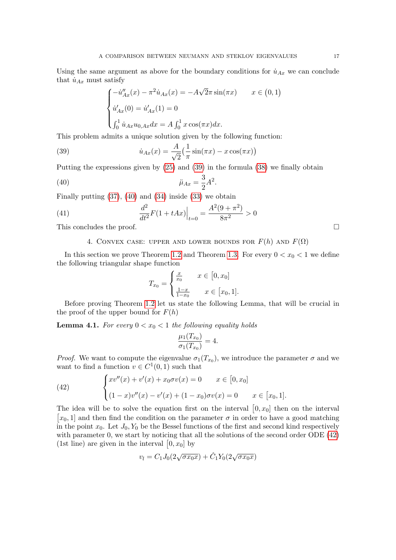Using the same argument as above for the boundary conditions for  $\dot{u}_{Ax}$  we can conclude that  $\dot{u}_{Ax}$  must satisfy

<span id="page-16-1"></span>
$$
\begin{cases}\n-\dot{u}_{Ax}'(x) - \pi^2 \dot{u}_{Ax}(x) = -A\sqrt{2}\pi \sin(\pi x) & x \in (0,1) \\
\dot{u}_{Ax}'(0) = \dot{u}_{Ax}'(1) = 0 \\
\int_0^1 \dot{u}_{Ax} u_{0,Ax} dx = A \int_0^1 x \cos(\pi x) dx.\n\end{cases}
$$

This problem admits a unique solution given by the following function:

(39) 
$$
\dot{u}_{Ax}(x) = \frac{A}{\sqrt{2}} \left( \frac{1}{\pi} \sin(\pi x) - x \cos(\pi x) \right)
$$

Putting the expressions given by [\(25\)](#page-13-0) and [\(39\)](#page-16-1) in the formula [\(38\)](#page-15-1) we finally obtain

(40) 
$$
\ddot{\mu}_{Ax} = \frac{3}{2}A^2.
$$

Finally putting  $(37)$ ,  $(40)$  and  $(34)$  inside  $(33)$  we obtain

(41) 
$$
\left. \frac{d^2}{dt^2} F(1 + tAx) \right|_{t=0} = \frac{A^2(9 + \pi^2)}{8\pi^2} > 0
$$

<span id="page-16-0"></span>This concludes the proof.

### 4. CONVEX CASE: UPPER AND LOWER BOUNDS FOR  $F(h)$  AND  $F(\Omega)$

In this section we prove Theorem [1.2](#page-2-1) and Theorem [1.3.](#page-2-2) For every  $0 < x_0 < 1$  we define the following triangular shape function

<span id="page-16-2"></span>
$$
T_{x_0} = \begin{cases} \frac{x}{x_0} & x \in [0, x_0] \\ \frac{1-x}{1-x_0} & x \in [x_0, 1]. \end{cases}
$$

Before proving Theorem [1.2](#page-2-1) let us state the following Lemma, that will be crucial in the proof of the upper bound for  $F(h)$ 

<span id="page-16-4"></span>**Lemma 4.1.** For every  $0 < x_0 < 1$  the following equality holds

$$
\frac{\mu_1(T_{x_0})}{\sigma_1(T_{x_0})} = 4.
$$

*Proof.* We want to compute the eigenvalue  $\sigma_1(T_{x_0})$ , we introduce the parameter  $\sigma$  and we want to find a function  $v \in C^1(0,1)$  such that

<span id="page-16-3"></span>(42) 
$$
\begin{cases} xv''(x) + v'(x) + x_0\sigma v(x) = 0 & x \in [0, x_0] \\ (1-x)v''(x) - v'(x) + (1-x_0)\sigma v(x) = 0 & x \in [x_0, 1]. \end{cases}
$$

The idea will be to solve the equation first on the interval  $[0, x_0]$  then on the interval [ $x_0$ , 1] and then find the condition on the parameter  $\sigma$  in order to have a good matching in the point  $x_0$ . Let  $J_0, Y_0$  be the Bessel functions of the first and second kind respectively with parameter 0, we start by noticing that all the solutions of the second order ODE [\(42\)](#page-16-3) (1st line) are given in the interval  $[0, x_0]$  by

$$
v_l = C_1 J_0 (2\sqrt{\sigma x_0 x}) + \hat{C}_1 Y_0 (2\sqrt{\sigma x_0 x})
$$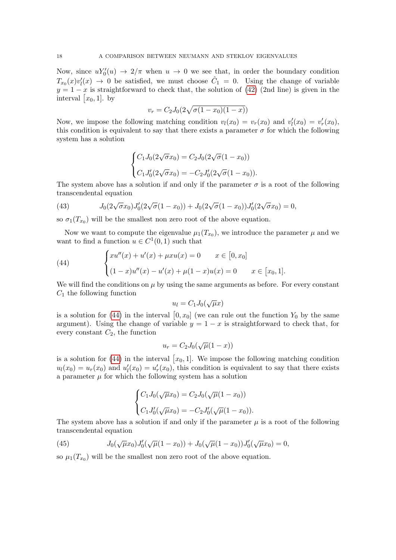Now, since  $uY_0'(u) \to 2/\pi$  when  $u \to 0$  we see that, in order the boundary condition  $T_{x_0}(x)v'_l(x) \to 0$  be satisfied, we must choose  $\hat{C}_1 = 0$ . Using the change of variable  $y = 1 - x$  is straightforward to check that, the solution of [\(42\)](#page-16-3) (2nd line) is given in the interval  $[x_0, 1]$ . by

$$
v_r = C_2 J_0 (2\sqrt{\sigma(1-x_0)(1-x)})
$$

Now, we impose the following matching condition  $v_l(x_0) = v_r(x_0)$  and  $v'_l(x_0) = v'_r(x_0)$ , this condition is equivalent to say that there exists a parameter  $\sigma$  for which the following system has a solution

$$
\begin{cases} C_1 J_0(2\sqrt{\sigma}x_0) = C_2 J_0(2\sqrt{\sigma}(1-x_0)) \\ C_1 J_0'(2\sqrt{\sigma}x_0) = -C_2 J_0'(2\sqrt{\sigma}(1-x_0)). \end{cases}
$$

The system above has a solution if and only if the parameter  $\sigma$  is a root of the following transcendental equation

<span id="page-17-1"></span>(43) 
$$
J_0(2\sqrt{\sigma}x_0)J'_0(2\sqrt{\sigma}(1-x_0)) + J_0(2\sqrt{\sigma}(1-x_0))J'_0(2\sqrt{\sigma}x_0) = 0,
$$

so  $\sigma_1(T_{x_0})$  will be the smallest non zero root of the above equation.

Now we want to compute the eigenvalue  $\mu_1(T_{x_0})$ , we introduce the parameter  $\mu$  and we want to find a function  $u \in C^1(0,1)$  such that

<span id="page-17-0"></span>(44) 
$$
\begin{cases} xu''(x) + u'(x) + \mu xu(x) = 0 & x \in [0, x_0] \\ (1 - x)u''(x) - u'(x) + \mu(1 - x)u(x) = 0 & x \in [x_0, 1]. \end{cases}
$$

We will find the conditions on  $\mu$  by using the same arguments as before. For every constant  $C_1$  the following function

$$
u_l = C_1 J_0(\sqrt{\mu}x)
$$

is a solution for [\(44\)](#page-17-0) in the interval  $[0, x_0]$  (we can rule out the function  $Y_0$  by the same argument). Using the change of variable  $y = 1 - x$  is straightforward to check that, for every constant  $C_2$ , the function

$$
u_r = C_2 J_0(\sqrt{\mu}(1-x))
$$

is a solution for [\(44\)](#page-17-0) in the interval  $[x_0, 1]$ . We impose the following matching condition  $u_l(x_0) = u_r(x_0)$  and  $u'_l(x_0) = u'_r(x_0)$ , this condition is equivalent to say that there exists a parameter  $\mu$  for which the following system has a solution

$$
\begin{cases} C_1 J_0(\sqrt{\mu}x_0) = C_2 J_0(\sqrt{\mu}(1 - x_0)) \\ C_1 J_0'(\sqrt{\mu}x_0) = -C_2 J_0'(\sqrt{\mu}(1 - x_0)). \end{cases}
$$

The system above has a solution if and only if the parameter  $\mu$  is a root of the following transcendental equation

<span id="page-17-2"></span>(45) 
$$
J_0(\sqrt{\mu}x_0)J'_0(\sqrt{\mu}(1-x_0))+J_0(\sqrt{\mu}(1-x_0))J'_0(\sqrt{\mu}x_0)=0,
$$

so  $\mu_1(T_{x_0})$  will be the smallest non zero root of the above equation.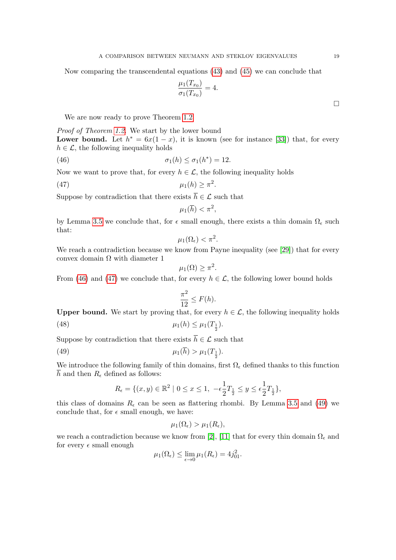Now comparing the transcendental equations [\(43\)](#page-17-1) and [\(45\)](#page-17-2) we can conclude that

$$
\frac{\mu_1(T_{x_0})}{\sigma_1(T_{x_0})} = 4.
$$

We are now ready to prove Theorem [1.2](#page-2-1)

Proof of Theorem [1.2.](#page-2-1) We start by the lower bound **Lower bound.** Let  $h^* = 6x(1-x)$ , it is known (see for instance [\[33\]](#page-29-1)) that, for every  $h \in \mathcal{L}$ , the following inequality holds

(46) 
$$
\sigma_1(h) \leq \sigma_1(h^*) = 12.
$$

Now we want to prove that, for every  $h \in \mathcal{L}$ , the following inequality holds

$$
\mu_1(h) \ge \pi^2.
$$

Suppose by contradiction that there exists  $\overline{h} \in \mathcal{L}$  such that

<span id="page-18-1"></span><span id="page-18-0"></span>
$$
\mu_1(\overline{h}) < \pi^2
$$

by Lemma [3.5](#page-9-0) we conclude that, for  $\epsilon$  small enough, there exists a thin domain  $\Omega_{\epsilon}$  such that:

$$
\mu_1(\Omega_{\epsilon}) < \pi^2.
$$

We reach a contradiction because we know from Payne inequality (see [\[29\]](#page-28-18)) that for every convex domain  $\Omega$  with diameter 1

$$
\mu_1(\Omega) \geq \pi^2.
$$

From [\(46\)](#page-18-0) and [\(47\)](#page-18-1) we conclude that, for every  $h \in \mathcal{L}$ , the following lower bound holds

<span id="page-18-3"></span><span id="page-18-2"></span>
$$
\frac{\pi^2}{12} \le F(h).
$$

**Upper bound.** We start by proving that, for every  $h \in \mathcal{L}$ , the following inequality holds

(48) 
$$
\mu_1(h) \leq \mu_1(T_{\frac{1}{2}}).
$$

Suppose by contradiction that there exists  $\overline{h} \in \mathcal{L}$  such that

(49) 
$$
\mu_1(h) > \mu_1(T_{\frac{1}{2}}).
$$

We introduce the following family of thin domains, first  $\Omega_{\epsilon}$  defined thanks to this function  $\overline{h}$  and then  $R_{\epsilon}$  defined as follows:

$$
R_{\epsilon} = \{ (x, y) \in \mathbb{R}^2 \mid 0 \le x \le 1, \ -\epsilon \frac{1}{2} T_{\frac{1}{2}} \le y \le \epsilon \frac{1}{2} T_{\frac{1}{2}} \},\
$$

this class of domains  $R_{\epsilon}$  can be seen as flattering rhombi. By Lemma [3.5](#page-9-0) and [\(49\)](#page-18-2) we conclude that, for  $\epsilon$  small enough, we have:

$$
\mu_1(\Omega_{\epsilon}) > \mu_1(R_{\epsilon}),
$$

we reach a contradiction because we know from [\[2\]](#page-27-3), [\[11\]](#page-28-19) that for every thin domain  $\Omega_{\epsilon}$  and for every  $\epsilon$  small enough

$$
\mu_1(\Omega_{\epsilon}) \le \lim_{\epsilon \to 0} \mu_1(R_{\epsilon}) = 4j_{01}^2.
$$

 $\Box$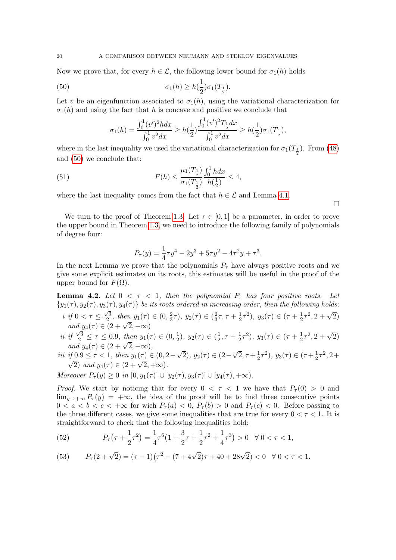Now we prove that, for every  $h \in \mathcal{L}$ , the following lower bound for  $\sigma_1(h)$  holds

(50) 
$$
\sigma_1(h) \ge h(\frac{1}{2})\sigma_1(T_{\frac{1}{2}}).
$$

Let v be an eigenfunction associated to  $\sigma_1(h)$ , using the variational characterization for  $\sigma_1(h)$  and using the fact that h is concave and positive we conclude that

<span id="page-19-0"></span>
$$
\sigma_1(h) = \frac{\int_0^1 (v')^2 h dx}{\int_0^1 v^2 dx} \ge h(\frac{1}{2}) \frac{\int_0^1 (v')^2 T_{\frac{1}{2}} dx}{\int_0^1 v^2 dx} \ge h(\frac{1}{2}) \sigma_1(T_{\frac{1}{2}}),
$$

where in the last inequality we used the variational characterization for  $\sigma_1(T_{\frac{1}{2}})$ . From [\(48\)](#page-18-3) and [\(50\)](#page-19-0) we conclude that:

(51) 
$$
F(h) \leq \frac{\mu_1(T_{\frac{1}{2}})}{\sigma_1(T_{\frac{1}{2}})} \frac{\int_0^1 h dx}{h(\frac{1}{2})} \leq 4,
$$

where the last inequality comes from the fact that  $h \in \mathcal{L}$  and Lemma [4.1.](#page-16-4)

 $\Box$ 

We turn to the proof of Theorem [1.3.](#page-2-2) Let  $\tau \in [0,1]$  be a parameter, in order to prove the upper bound in Theorem [1.3,](#page-2-2) we need to introduce the following family of polynomials of degree four:

$$
P_{\tau}(y) = \frac{1}{4}\tau y^4 - 2y^3 + 5\tau y^2 - 4\tau^2 y + \tau^3.
$$

In the next Lemma we prove that the polynomials  $P<sub>\tau</sub>$  have always positive roots and we give some explicit estimates on its roots, this estimates will be useful in the proof of the upper bound for  $F(\Omega)$ .

<span id="page-19-3"></span>**Lemma 4.2.** Let  $0 < \tau < 1$ , then the polynomial  $P_{\tau}$  has four positive roots. Let  ${y_1(\tau), y_2(\tau), y_3(\tau), y_4(\tau)}$  be its roots ordered in increasing order, then the following holds:

- i if  $0 < \tau \leq$  $\sqrt{3}$  $\frac{\sqrt{3}}{2}$ , then  $y_1(\tau) \in (0, \frac{2}{3})$  $(\frac{2}{3}\tau), y_2(\tau) \in (\frac{2}{3}\tau)$  $\frac{2}{3}\tau, \tau + \frac{1}{2}$  $(\frac{1}{2}\tau^2), y_3(\tau) \in (\tau + \frac{1}{2})$  $\frac{1}{2}\tau^2$ , 2 +  $\sqrt{2}$ ) and  $y_4(\tau) \in (2+\sqrt{2}, +\infty)$
- ii if  $\frac{\sqrt{3}}{2} \leq \tau \leq 0.9$ , then  $y_1(\tau) \in (0, \frac{1}{2})$  $(\frac{1}{2}), y_2(\tau) \in (\frac{1}{2})$  $\frac{1}{2}, \tau + \frac{1}{2}$  $(\frac{1}{2}\tau^2), y_3(\tau) \in (\tau + \frac{1}{2})$  $\frac{1}{2}\tau^2, 2+\sqrt{2}$  $y \overline{q} \geq 7 \leq 0.9$ , then  $y_1(7)$ <br>and  $y_4(\tau) \in (2 + \sqrt{2}, +\infty)$ , √ √
- iii if  $0.9 \leq \tau < 1$ , then  $y_1(\tau) \in (0, 2-\tau)$ 2),  $y_2(\tau) \in (2-\tau)$  $\overline{2}, \tau + \frac{1}{2}$  $(\frac{1}{2}\tau^2), y_3(\tau) \in (\tau + \frac{1}{2})$  $if 0.9 \leq \tau < 1, then y_1(\tau) \in (0, 2-\sqrt{2}), y_2(\tau) \in (2-\sqrt{2}, \tau+\frac{1}{2}\tau^2), y_3(\tau) \in (\tau+\frac{1}{2}\tau^2, 2+\frac{1}{2}\tau^2)$  $(0.9 \le t < 1,$  then  $y_1(t) \in (0, 2)$ <br>  $(2 + \sqrt{2}, +\infty).$

Moreover  $P_{\tau}(y) > 0$  in  $[0, y_1(\tau)] \cup [y_2(\tau), y_3(\tau)] \cup [y_4(\tau), +\infty)$ .

*Proof.* We start by noticing that for every  $0 < \tau < 1$  we have that  $P_\tau(0) > 0$  and  $\lim_{y\to+\infty}P_{\tau}(y) = +\infty$ , the idea of the proof will be to find three consecutive points  $0 < a < b < c < +\infty$  for wich  $P_\tau(a) < 0$ ,  $P_\tau(b) > 0$  and  $P_\tau(c) < 0$ . Before passing to the three different cases, we give some inequalities that are true for every  $0 < \tau < 1$ . It is straightforward to check that the following inequalities hold:

<span id="page-19-1"></span>(52) 
$$
P_{\tau}(\tau + \frac{1}{2}\tau^2) = \frac{1}{4}\tau^6 \left(1 + \frac{3}{2}\tau + \frac{1}{2}\tau^2 + \frac{1}{4}\tau^3\right) > 0 \quad \forall \ 0 < \tau < 1,
$$

<span id="page-19-2"></span>(53) 
$$
P_{\tau}(2+\sqrt{2}) = (\tau - 1)(\tau^2 - (7+4\sqrt{2})\tau + 40 + 28\sqrt{2}) < 0 \quad \forall \ 0 < \tau < 1.
$$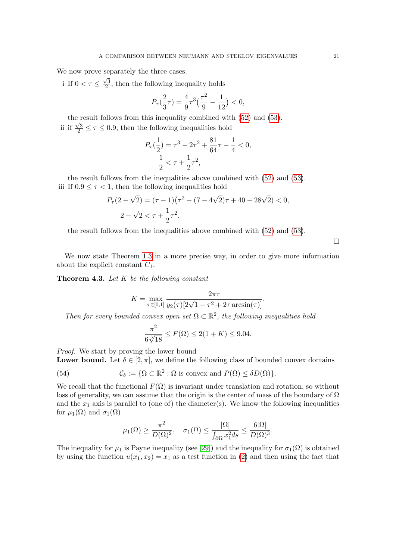We now prove separately the three cases.

i If  $0 < \tau \leq$  $\sqrt{3}$  $\frac{\sqrt{3}}{2}$ , then the following inequality holds

$$
P_{\tau}\left(\frac{2}{3}\tau\right) = \frac{4}{9}\tau^3\left(\frac{\tau^2}{9} - \frac{1}{12}\right) < 0,
$$

the result follows from this inequality combined with  $(52)$  and  $(53)$ . ii if  $\frac{\sqrt{3}}{2} \leq \tau \leq 0.9$ , then the following inequalities hold

$$
P_{\tau}(\frac{1}{2}) = \tau^3 - 2\tau^2 + \frac{81}{64}\tau - \frac{1}{4} < 0,
$$
  

$$
\frac{1}{2} < \tau + \frac{1}{2}\tau^2,
$$

the result follows from the inequalities above combined with [\(52\)](#page-19-1) and [\(53\)](#page-19-2). iii If  $0.9 \leq \tau < 1$ , then the following inequalities hold

$$
P_{\tau}(2-\sqrt{2}) = (\tau - 1)(\tau^2 - (7 - 4\sqrt{2})\tau + 40 - 28\sqrt{2}) < 0,
$$
\n
$$
2 - \sqrt{2} < \tau + \frac{1}{2}\tau^2.
$$

the result follows from the inequalities above combined with [\(52\)](#page-19-1) and [\(53\)](#page-19-2).

 $\Box$ 

We now state Theorem [1.3](#page-2-2) in a more precise way, in order to give more information about the explicit constant  $C_1$ .

**Theorem 4.3.** Let  $K$  be the following constant

$$
K = \max_{\tau \in [0,1]} \frac{2\pi\tau}{y_2(\tau)[2\sqrt{1-\tau^2}+2\tau \arcsin(\tau)]}.
$$

Then for every bounded convex open set  $\Omega \subset \mathbb{R}^2$ , the following inequalities hold

$$
\frac{\pi^2}{6\sqrt[3]{18}} \le F(\Omega) \le 2(1+K) \le 9.04.
$$

Proof. We start by proving the lower bound

**Lower bound.** Let  $\delta \in [2, \pi]$ , we define the following class of bounded convex domains

(54) 
$$
\mathcal{C}_{\delta} := \{ \Omega \subset \mathbb{R}^2 : \Omega \text{ is convex and } P(\Omega) \leq \delta D(\Omega) \}.
$$

We recall that the functional  $F(\Omega)$  is invariant under translation and rotation, so without loss of generality, we can assume that the origin is the center of mass of the boundary of  $\Omega$ and the  $x_1$  axis is parallel to (one of) the diameter(s). We know the following inequalities for  $\mu_1(\Omega)$  and  $\sigma_1(\Omega)$ 

$$
\mu_1(\Omega) \ge \frac{\pi^2}{D(\Omega)^2}, \quad \sigma_1(\Omega) \le \frac{|\Omega|}{\int_{\partial\Omega} x_1^2 ds} \le \frac{6|\Omega|}{D(\Omega)^3}.
$$

The inequality for  $\mu_1$  is Payne inequality (see [\[29\]](#page-28-18)) and the inequality for  $\sigma_1(\Omega)$  is obtained by using the function  $u(x_1, x_2) = x_1$  as a test function in [\(2\)](#page-1-1) and then using the fact that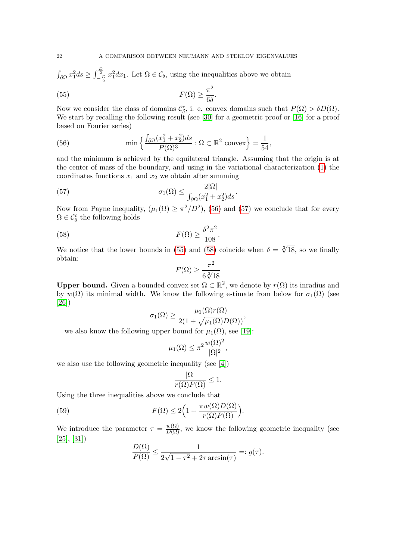$\int_{\partial\Omega} x_1^2 ds \ge \int_{-\frac{D}{2}}^{\frac{D}{2}} x_1^2 dx_1$ . Let  $\Omega \in \mathcal{C}_\delta$ , using the inequalities above we obtain

<span id="page-21-2"></span>(55) 
$$
F(\Omega) \geq \frac{\pi^2}{6\delta}.
$$

Now we consider the class of domains  $\mathcal{C}_{\delta}^c$ , i. e. convex domains such that  $P(\Omega) > \delta D(\Omega)$ . We start by recalling the following result (see [\[30\]](#page-28-20) for a geometric proof or [\[16\]](#page-28-21) for a proof based on Fourier series)

<span id="page-21-0"></span>(56) 
$$
\min \left\{ \frac{\int_{\partial \Omega} (x_1^2 + x_2^2) ds}{P(\Omega)^3} : \Omega \subset \mathbb{R}^2 \text{ convex} \right\} = \frac{1}{54},
$$

and the minimum is achieved by the equilateral triangle. Assuming that the origin is at the center of mass of the boundary, and using in the variational characterization [\(1\)](#page-1-0) the coordinates functions  $x_1$  and  $x_2$  we obtain after summing

(57) 
$$
\sigma_1(\Omega) \leq \frac{2|\Omega|}{\int_{\partial\Omega} (x_1^2 + x_2^2) ds}.
$$

Now from Payne inequality,  $(\mu_1(\Omega) \ge \pi^2/D^2)$ , [\(56\)](#page-21-0) and [\(57\)](#page-21-1) we conclude that for every  $\Omega \in \mathcal{C}_{\delta}^{\mathrm{c}}$  the following holds

(58) 
$$
F(\Omega) \geq \frac{\delta^2 \pi^2}{108}.
$$

We notice that the lower bounds in [\(55\)](#page-21-2) and [\(58\)](#page-21-3) coincide when  $\delta = \sqrt[3]{18}$ , so we finally obtain:

<span id="page-21-3"></span><span id="page-21-1"></span>
$$
F(\Omega) \ge \frac{\pi^2}{6\sqrt[3]{18}}
$$

**Upper bound.** Given a bounded convex set  $\Omega \subset \mathbb{R}^2$ , we denote by  $r(\Omega)$  its inradius and by  $w(\Omega)$  its minimal width. We know the following estimate from below for  $\sigma_1(\Omega)$  (see [\[26\]](#page-28-22))

$$
\sigma_1(\Omega) \ge \frac{\mu_1(\Omega)r(\Omega)}{2(1+\sqrt{\mu_1(\Omega)}D(\Omega))},
$$

we also know the following upper bound for  $\mu_1(\Omega)$ , see [\[19\]](#page-28-23):

$$
\mu_1(\Omega) \le \pi^2 \frac{w(\Omega)^2}{|\Omega|^2},
$$

we also use the following geometric inequality (see [\[4\]](#page-27-4))

<span id="page-21-4"></span>
$$
\frac{|\Omega|}{r(\Omega)P(\Omega)} \le 1.
$$

Using the three inequalities above we conclude that

(59) 
$$
F(\Omega) \le 2\Big(1 + \frac{\pi w(\Omega)D(\Omega)}{r(\Omega)P(\Omega)}\Big).
$$

We introduce the parameter  $\tau = \frac{w(\Omega)}{D(\Omega)}$ , we know the following geometric inequality (see [\[25\]](#page-28-24), [\[31\]](#page-28-25))  $D(\Omega)$ 

$$
\frac{D(\Omega)}{P(\Omega)} \le \frac{1}{2\sqrt{1-\tau^2}+2\tau \arcsin(\tau)} =: g(\tau).
$$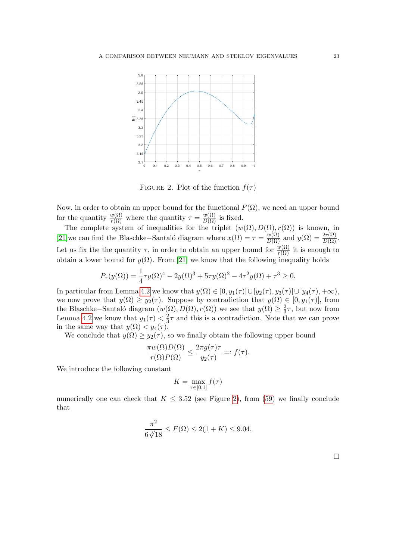

<span id="page-22-0"></span>FIGURE 2. Plot of the function  $f(\tau)$ 

Now, in order to obtain an upper bound for the functional  $F(\Omega)$ , we need an upper bound for the quantity  $\frac{w(\Omega)}{r(\Omega)}$  where the quantity  $\tau = \frac{w(\Omega)}{D(\Omega)}$  is fixed.

The complete system of inequalities for the triplet  $(w(\Omega), D(\Omega), r(\Omega))$  is known, in [\[21\]](#page-28-26)we can find the Blaschke–Santaló diagram where  $x(\Omega) = \tau = \frac{w(\Omega)}{D(\Omega)}$  and  $y(\Omega) = \frac{2r(\Omega)}{D(\Omega)}$ . Let us fix the the quantity  $\tau$ , in order to obtain an upper bound for  $\frac{w(\Omega)}{r(\Omega)}$  it is enough to obtain a lower bound for  $y(\Omega)$ . From [\[21\]](#page-28-26) we know that the following inequality holds

$$
P_{\tau}(y(\Omega)) = \frac{1}{4}\tau y(\Omega)^4 - 2y(\Omega)^3 + 5\tau y(\Omega)^2 - 4\tau^2 y(\Omega) + \tau^3 \ge 0.
$$

In particular from Lemma [4.2](#page-19-3) we know that  $y(\Omega) \in [0, y_1(\tau)] \cup [y_2(\tau), y_3(\tau)] \cup [y_4(\tau), +\infty)$ , we now prove that  $y(\Omega) \geq y_2(\tau)$ . Suppose by contradiction that  $y(\Omega) \in [0, y_1(\tau)],$  from the Blaschke–Santaló diagram  $(w(\Omega), D(\Omega), r(\Omega))$  we see that  $y(\Omega) \geq \frac{2}{3}$  $\frac{2}{3}\tau$ , but now from Lemma [4.2](#page-19-3) we know that  $y_1(\tau) < \frac{2}{3}$  $\frac{2}{3}\tau$  and this is a contradiction. Note that we can prove in the same way that  $y(\Omega) < y_4(\tau)$ .

We conclude that  $y(\Omega) \geq y_2(\tau)$ , so we finally obtain the following upper bound

$$
\frac{\pi w(\Omega)D(\Omega)}{r(\Omega)P(\Omega)} \le \frac{2\pi g(\tau)\tau}{y_2(\tau)} =: f(\tau).
$$

We introduce the following constant

$$
K = \max_{\tau \in [0,1]} f(\tau)
$$

numerically one can check that  $K \leq 3.52$  (see Figure [2\)](#page-22-0), from [\(59\)](#page-21-4) we finally conclude that

$$
\frac{\pi^2}{6\sqrt[3]{18}} \le F(\Omega) \le 2(1+K) \le 9.04.
$$

 $\Box$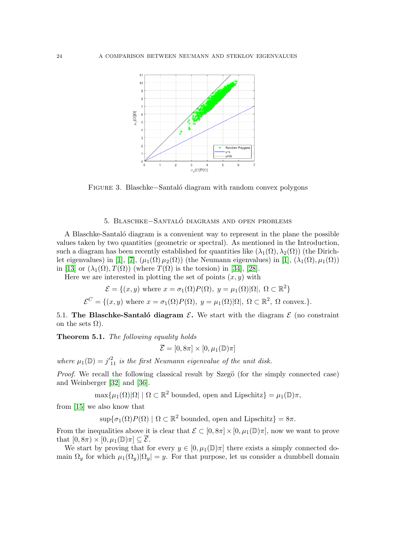<span id="page-23-2"></span>

Figure 3. Blaschke−Santal´o diagram with random convex polygons

## 5. Blaschke−Santalo diagrams and open problems ´

<span id="page-23-0"></span>A Blaschke-Santalo diagram is a convenient way to represent in the plane the possible values taken by two quantities (geometric or spectral). As mentioned in the Introduction, such a diagram has been recently established for quantities like  $(\lambda_1(\Omega), \lambda_2(\Omega))$  (the Dirich-let eigenvalues) in [\[1\]](#page-27-1), [\[7\]](#page-28-6),  $(\mu_1(\Omega)\mu_2(\Omega))$  (the Neumann eigenvalues) in [1],  $(\lambda_1(\Omega), \mu_1(\Omega))$ in [\[13\]](#page-28-7) or  $(\lambda_1(\Omega), T(\Omega))$  (where  $T(\Omega)$  is the torsion) in [\[34\]](#page-29-0), [\[28\]](#page-28-8).

Here we are interested in plotting the set of points  $(x, y)$  with

$$
\mathcal{E} = \{(x, y) \text{ where } x = \sigma_1(\Omega)P(\Omega), y = \mu_1(\Omega)|\Omega|, \Omega \subset \mathbb{R}^2\}
$$
  

$$
\mathcal{E}^C = \{(x, y) \text{ where } x = \sigma_1(\Omega)P(\Omega), y = \mu_1(\Omega)|\Omega|, \Omega \subset \mathbb{R}^2, \Omega \text{ convex.}\}.
$$

<span id="page-23-1"></span>5.1. The Blaschke-Santalo diagram  $\mathcal{E}$ . We start with the diagram  $\mathcal{E}$  (no constraint on the sets  $\Omega$ ).

Theorem 5.1. The following equality holds

 $\overline{\mathcal{E}} = [0, 8\pi] \times [0, \mu_1(\mathbb{D})\pi]$ 

where  $\mu_1(\mathbb{D}) = j'^{2}_{11}$  is the first Neumann eigenvalue of the unit disk.

*Proof.* We recall the following classical result by Szegö (for the simply connected case) and Weinberger [\[32\]](#page-29-3) and [\[36\]](#page-29-4).

 $\max{\mu_1(\Omega)|\Omega| \mid \Omega \subset \mathbb{R}^2}$  bounded, open and Lipschitz $= \mu_1(\mathbb{D})\pi$ ,

from [\[15\]](#page-28-1) we also know that

 $\sup\{\sigma_1(\Omega)P(\Omega) \mid \Omega \subset \mathbb{R}^2 \text{ bounded, open and Lipschitz}\} = 8\pi.$ 

From the inequalities above it is clear that  $\mathcal{E} \subset [0, 8\pi] \times [0, \mu_1(\mathbb{D})\pi]$ , now we want to prove that  $[0, 8\pi) \times [0, \mu_1(\mathbb{D})\pi] \subseteq \overline{\mathcal{E}}$ .

We start by proving that for every  $y \in [0, \mu_1(\mathbb{D})\pi]$  there exists a simply connected domain  $\Omega_y$  for which  $\mu_1(\Omega_y)|\Omega_y| = y$ . For that purpose, let us consider a dumbbell domain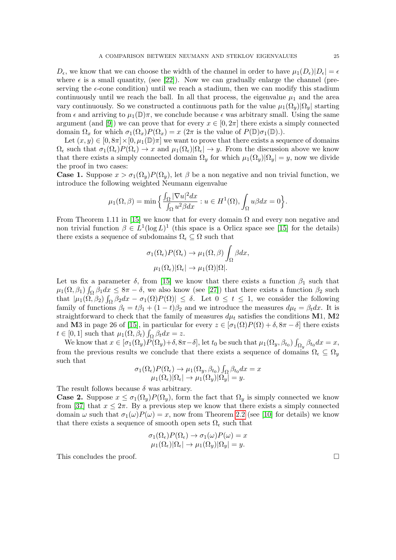$D_{\epsilon}$ , we know that we can choose the width of the channel in order to have  $\mu_1(D_{\epsilon})|D_{\epsilon}| = \epsilon$ where  $\epsilon$  is a small quantity, (see [\[22\]](#page-28-11)). Now we can gradually enlarge the channel (preserving the  $\epsilon$ -cone condition) until we reach a stadium, then we can modify this stadium continuously until we reach the ball. In all that process, the eigenvalue  $\mu_1$  and the area vary continuously. So we constructed a continuous path for the value  $\mu_1(\Omega_y)|\Omega_y|$  starting from  $\epsilon$  and arriving to  $\mu_1(\mathbb{D})\pi$ , we conclude because  $\epsilon$  was arbitrary small. Using the same argument (and [\[9\]](#page-28-12)) we can prove that for every  $x \in [0, 2\pi]$  there exists a simply connected domain  $\Omega_x$  for which  $\sigma_1(\Omega_x)P(\Omega_x) = x$  ( $2\pi$  is the value of  $P(\mathbb{D})\sigma_1(\mathbb{D})$ .).

Let  $(x, y) \in [0, 8\pi] \times [0, \mu_1(\mathbb{D})\pi]$  we want to prove that there exists a sequence of domains  $\Omega_{\epsilon}$  such that  $\sigma_1(\Omega_{\epsilon})P(\Omega_{\epsilon}) \to x$  and  $\mu_1(\Omega_{\epsilon})|\Omega_{\epsilon}| \to y$ . From the discussion above we know that there exists a simply connected domain  $\Omega_y$  for which  $\mu_1(\Omega_y)|\Omega_y| = y$ , now we divide the proof in two cases:

**Case 1.** Suppose  $x > \sigma_1(\Omega_y)P(\Omega_y)$ , let  $\beta$  be a non negative and non trivial function, we introduce the following weighted Neumann eigenvalue

$$
\mu_1(\Omega,\beta) = \min\Big\{\frac{\int_{\Omega} |\nabla u|^2 dx}{\int_{\Omega} u^2 \beta dx} : u \in H^1(\Omega), \int_{\Omega} u\beta dx = 0\Big\}.
$$

From Theorem 1.11 in [\[15\]](#page-28-1) we know that for every domain  $\Omega$  and every non negative and non trivial function  $\beta \in L^1(\log L)^1$  (this space is a Orlicz space see [\[15\]](#page-28-1) for the details) there exists a sequence of subdomains  $\Omega_{\epsilon} \subseteq \Omega$  such that

$$
\sigma_1(\Omega_{\epsilon}) P(\Omega_{\epsilon}) \to \mu_1(\Omega, \beta) \int_{\Omega} \beta dx,
$$
  

$$
\mu_1(\Omega_{\epsilon}) |\Omega_{\epsilon}| \to \mu_1(\Omega) |\Omega|.
$$

Let us fix a parameter  $\delta$ , from [\[15\]](#page-28-1) we know that there exists a function  $\beta_1$  such that  $\mu_1(\Omega, \beta_1) \int_{\Omega} \beta_1 dx \leq 8\pi - \delta$ , we also know (see [\[27\]](#page-28-3)) that there exists a function  $\beta_2$  such that  $|\mu_1(\Omega, \beta_2)| \int_{\Omega} \beta_2 dx - \sigma_1(\Omega) P(\Omega)| \leq \delta$ . Let  $0 \leq t \leq 1$ , we consider the following family of functions  $\beta_t = t\beta_1 + (1-t)\beta_2$  and we introduce the measures  $d\mu_t = \beta_t dx$ . It is straightforward to check that the family of measures  $d\mu_t$  satisfies the conditions M1, M2 and M3 in page 26 of [\[15\]](#page-28-1), in particular for every  $z \in [\sigma_1(\Omega)P(\Omega) + \delta, 8\pi - \delta]$  there exists  $t \in [0, 1]$  such that  $\mu_1(\Omega, \beta_t) \int_{\Omega} \beta_t dx = z$ .

We know that  $x \in [\sigma_1(\Omega_y)P(\Omega_y)+\delta, 8\pi-\delta]$ , let  $t_0$  be such that  $\mu_1(\Omega_y, \beta_{t_0}) \int_{\Omega_y} \beta_{t_0} dx = x$ , from the previous results we conclude that there exists a sequence of domains  $\Omega_{\epsilon} \subseteq \Omega_{y}$ such that

$$
\sigma_1(\Omega_{\epsilon}) P(\Omega_{\epsilon}) \to \mu_1(\Omega_y, \beta_{t_0}) \int_{\Omega} \beta_{t_0} dx = x
$$
  

$$
\mu_1(\Omega_{\epsilon}) |\Omega_{\epsilon}| \to \mu_1(\Omega_y) |\Omega_y| = y.
$$

The result follows because  $\delta$  was arbitrary.

**Case 2.** Suppose  $x \leq \sigma_1(\Omega_y)P(\Omega_y)$ , form the fact that  $\Omega_y$  is simply connected we know from [\[37\]](#page-29-5) that  $x \leq 2\pi$ . By a previous step we know that there exists a simply connected domain  $\omega$  such that  $\sigma_1(\omega)P(\omega) = x$ , now from Theorem [2.2](#page-3-2) (see [\[10\]](#page-28-9) for details) we know that there exists a sequence of smooth open sets  $\Omega_{\epsilon}$  such that

$$
\sigma_1(\Omega_{\epsilon})P(\Omega_{\epsilon}) \to \sigma_1(\omega)P(\omega) = x \mu_1(\Omega_{\epsilon})|\Omega_{\epsilon}| \to \mu_1(\Omega_y)|\Omega_y| = y.
$$

This concludes the proof.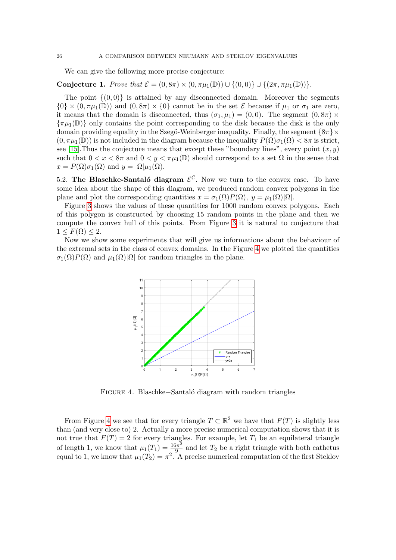We can give the following more precise conjecture:

**Conjecture 1.** Prove that  $\mathcal{E} = (0, 8\pi) \times (0, \pi\mu_1(\mathbb{D})) \cup \{(0, 0)\} \cup \{(2\pi, \pi\mu_1(\mathbb{D}))\}.$ 

The point  $\{(0,0)\}\$ is attained by any disconnected domain. Moreover the segments  $\{0\} \times (0, \pi\mu_1(\mathbb{D}))$  and  $(0, 8\pi) \times \{0\}$  cannot be in the set  $\mathcal E$  because if  $\mu_1$  or  $\sigma_1$  are zero, it means that the domain is disconnected, thus  $(\sigma_1, \mu_1) = (0, 0)$ . The segment  $(0, 8\pi) \times$  $\{\pi\mu_1(\mathbb{D})\}$  only contains the point corresponding to the disk because the disk is the only domain providing equality in the Szegö-Weinberger inequality. Finally, the segment  ${8\pi}\times$  $(0, \pi\mu_1(\mathbb{D}))$  is not included in the diagram because the inequality  $P(\Omega)\sigma_1(\Omega) < 8\pi$  is strict, see [\[15\]](#page-28-1). Thus the conjecture means that except these "boundary lines", every point  $(x, y)$ such that  $0 < x < 8\pi$  and  $0 < y < \pi\mu_1(\mathbb{D})$  should correspond to a set  $\Omega$  in the sense that  $x = P(\Omega)\sigma_1(\Omega)$  and  $y = |\Omega|\mu_1(\Omega)$ .

<span id="page-25-0"></span>5.2. The Blaschke-Santaló diagram  $\mathcal{E}^{\mathcal{C}}$ . Now we turn to the convex case. To have some idea about the shape of this diagram, we produced random convex polygons in the plane and plot the corresponding quantities  $x = \sigma_1(\Omega) P(\Omega)$ ,  $y = \mu_1(\Omega) |\Omega|$ .

Figure [3](#page-23-2) shows the values of these quantities for 1000 random convex polygons. Each of this polygon is constructed by choosing 15 random points in the plane and then we compute the convex hull of this points. From Figure [3](#page-23-2) it is natural to conjecture that  $1 \leq F(\Omega) \leq 2.$ 

Now we show some experiments that will give us informations about the behaviour of the extremal sets in the class of convex domains. In the Figure [4](#page-25-1) we plotted the quantities  $\sigma_1(\Omega)P(\Omega)$  and  $\mu_1(\Omega)|\Omega|$  for random triangles in the plane.



<span id="page-25-1"></span>Figure 4. Blaschke−Santal´o diagram with random triangles

From Figure [4](#page-25-1) we see that for every triangle  $T \subset \mathbb{R}^2$  we have that  $F(T)$  is slightly less than (and very close to) 2. Actually a more precise numerical computation shows that it is not true that  $F(T) = 2$  for every triangles. For example, let  $T_1$  be an equilateral triangle of length 1, we know that  $\mu_1(T_1) = \frac{16\pi^2}{9}$  $\frac{9\pi^2}{9}$  and let  $T_2$  be a right triangle with both cathetus equal to 1, we know that  $\mu_1(T_2) = \pi^2$ . A precise numerical computation of the first Steklov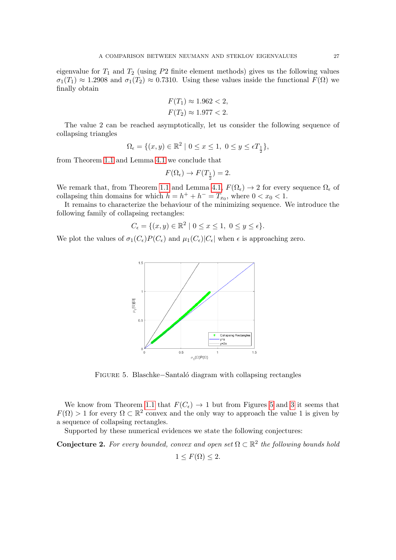eigenvalue for  $T_1$  and  $T_2$  (using  $P2$  finite element methods) gives us the following values  $\sigma_1(T_1) \approx 1.2908$  and  $\sigma_1(T_2) \approx 0.7310$ . Using these values inside the functional  $F(\Omega)$  we finally obtain

$$
F(T_1) \approx 1.962 < 2,
$$
\n
$$
F(T_2) \approx 1.977 < 2.
$$

The value 2 can be reached asymptotically, let us consider the following sequence of collapsing triangles

$$
\Omega_{\epsilon} = \{ (x, y) \in \mathbb{R}^2 \mid 0 \le x \le 1, \ 0 \le y \le \epsilon T_{\frac{1}{2}} \},\
$$

from Theorem [1.1](#page-2-0) and Lemma [4.1](#page-16-4) we conclude that

$$
F(\Omega_{\epsilon}) \to F(T_{\frac{1}{2}}) = 2.
$$

We remark that, from Theorem [1.1](#page-2-0) and Lemma [4.1,](#page-16-4)  $F(\Omega_{\epsilon}) \to 2$  for every sequence  $\Omega_{\epsilon}$  of collapsing thin domains for which  $h = h^+ + h^- = T_{x_0}$ , where  $0 < x_0 < 1$ .

It remains to characterize the behaviour of the minimizing sequence. We introduce the following family of collapsing rectangles:

$$
C_{\epsilon}=\{(x,y)\in\mathbb{R}^2\mid 0\leq x\leq 1,\ 0\leq y\leq \epsilon\}.
$$

We plot the values of  $\sigma_1(C_{\epsilon})P(C_{\epsilon})$  and  $\mu_1(C_{\epsilon})|C_{\epsilon}|$  when  $\epsilon$  is approaching zero.



Figure 5. Blaschke−Santal´o diagram with collapsing rectangles

We know from Theorem [1.1](#page-2-0) that  $F(C_{\epsilon}) \to 1$  but from Figures [5](#page-26-0) and [3](#page-23-2) it seems that  $F(\Omega) > 1$  for every  $\Omega \subset \mathbb{R}^2$  convex and the only way to approach the value 1 is given by a sequence of collapsing rectangles.

Supported by these numerical evidences we state the following conjectures:

**Conjecture 2.** For every bounded, convex and open set  $\Omega \subset \mathbb{R}^2$  the following bounds hold

<span id="page-26-0"></span> $1 \leq F(\Omega) \leq 2.$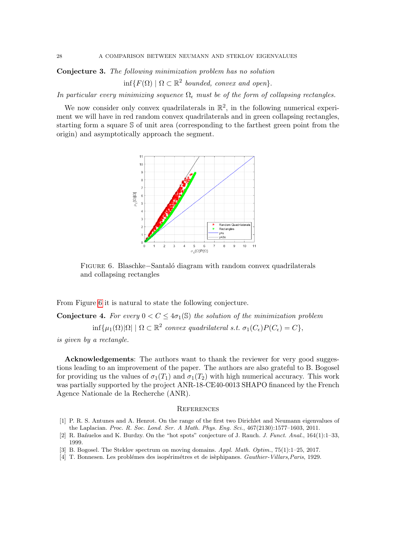Conjecture 3. The following minimization problem has no solution

 $inf\{F(\Omega) \mid \Omega \subset \mathbb{R}^2 \text{ bounded, convex and open}\}.$ 

In particular every minimizing sequence  $\Omega_{\epsilon}$  must be of the form of collapsing rectangles.

We now consider only convex quadrilaterals in  $\mathbb{R}^2$ , in the following numerical experiment we will have in red random convex quadrilaterals and in green collapsing rectangles, starting form a square S of unit area (corresponding to the farthest green point from the origin) and asymptotically approach the segment.

<span id="page-27-5"></span>

Figure 6. Blaschke−Santal´o diagram with random convex quadrilaterals and collapsing rectangles

From Figure [6](#page-27-5) it is natural to state the following conjecture.

**Conjecture 4.** For every  $0 < C \leq 4\sigma_1(\mathbb{S})$  the solution of the minimization problem  $\inf \{ \mu_1(\Omega) | \Omega | \mid \Omega \subset \mathbb{R}^2$  convex quadrilateral s.t.  $\sigma_1(C_\epsilon) P(C_\epsilon) = C \},$ is given by a rectangle.

Acknowledgements: The authors want to thank the reviewer for very good suggestions leading to an improvement of the paper. The authors are also grateful to B. Bogosel for providing us the values of  $\sigma_1(T_1)$  and  $\sigma_1(T_2)$  with high numerical accuracy. This work was partially supported by the project ANR-18-CE40-0013 SHAPO financed by the French Agence Nationale de la Recherche (ANR).

#### <span id="page-27-0"></span>**REFERENCES**

- <span id="page-27-1"></span>[1] P. R. S. Antunes and A. Henrot. On the range of the first two Dirichlet and Neumann eigenvalues of the Laplacian. Proc. R. Soc. Lond. Ser. A Math. Phys. Eng. Sci., 467(2130):1577–1603, 2011.
- <span id="page-27-3"></span>[2] R. Bañuelos and K. Burdzy. On the "hot spots" conjecture of J. Rauch. J. Funct. Anal., 164(1):1–33, 1999.
- <span id="page-27-2"></span>[3] B. Bogosel. The Steklov spectrum on moving domains. Appl. Math. Optim., 75(1):1–25, 2017.
- <span id="page-27-4"></span>[4] T. Bonnesen. Les problémes des isopérimétres et de isèphipanes. Gauthier-Villars, Paris, 1929.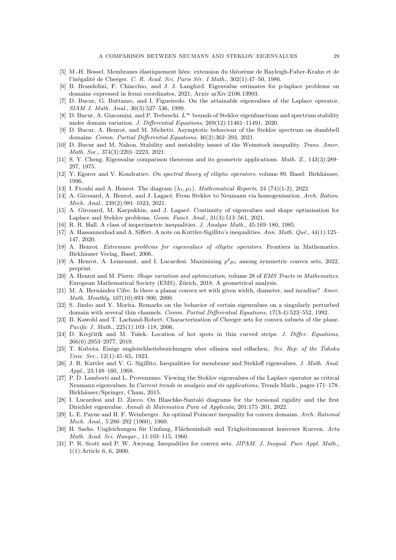- <span id="page-28-14"></span>[5] M.-H. Bossel. Membranes élastiquement liées: extension du théorème de Rayleigh-Faber-Krahn et de l'inégalité de Cheeger. C. R. Acad. Sci. Paris Sér. I Math., 302(1):47-50, 1986.
- <span id="page-28-4"></span>[6] B. Brandolini, F. Chiacchio, and J. J. Langford. Eigenvalue estimates for p-laplace problems on domains expressed in fermi coordinates, 2021, Arxiv arXiv:2106.13903.
- <span id="page-28-6"></span>[7] D. Bucur, G. Buttazzo, and I. Figueiredo. On the attainable eigenvalues of the Laplace operator. SIAM J. Math. Anal., 30(3):527–536, 1999.
- <span id="page-28-13"></span>[8] D. Bucur, A. Giacomini, and P. Trebeschi.  $L^{\infty}$  bounds of Steklov eigenfunctions and spectrum stability under domain variation. J. Differential Equations, 269(12):11461–11491, 2020.
- <span id="page-28-12"></span>[9] D. Bucur, A. Henrot, and M. Michetti. Asymptotic behaviour of the Steklov spectrum on dumbbell domains. Comm. Partial Differential Equations, 46(2):362–393, 2021.
- <span id="page-28-9"></span>[10] D. Bucur and M. Nahon. Stability and instability issues of the Weinstock inequality. Trans. Amer. Math. Soc., 374(3):2201–2223, 2021.
- <span id="page-28-19"></span>[11] S. Y. Cheng. Eigenvalue comparison theorems and its geometric applications. Math. Z., 143(3):289– 297, 1975.
- <span id="page-28-17"></span>[12] Y. Egorov and V. Kondratiev. On spectral theory of elliptic operators, volume 89. Basel: Birkhäuser, 1996.
- <span id="page-28-7"></span>[13] I. Ftouhi and A. Henrot. The diagram  $(\lambda_1, \mu_1)$ . Mathematical Reports, 24 (74)(1-2), 2022.
- <span id="page-28-0"></span>[14] A. Girouard, A. Henrot, and J. Lagacé. From Steklov to Neumann via homogenisation. Arch. Ration. Mech. Anal., 239(2):981–1023, 2021.
- <span id="page-28-1"></span>[15] A. Girouard, M. Karpukhin, and J. Lagacé. Continuity of eigenvalues and shape optimisation for Laplace and Steklov problems. Geom. Funct. Anal., 31(3):513–561, 2021.
- <span id="page-28-21"></span>[16] R. R. Hall. A class of isoperimetric inequalities. J. Analyse Math., 45:169–180, 1985.
- <span id="page-28-2"></span>[17] A. Hassannezhad and A. Siffert. A note on Kuttler-Sigillito's inequalities. Ann. Math.  $Qué., 44(1):125-$ 147, 2020.
- <span id="page-28-16"></span>[18] A. Henrot. Extremum problems for eigenvalues of elliptic operators. Frontiers in Mathematics. Birkhäuser Verlag, Basel, 2006.
- <span id="page-28-23"></span>[19] A. Henrot, A. Lemenant, and I. Lucardesi. Maximizing  $p^2\mu_1$  among symmetric convex sets, 2022, preprint.
- <span id="page-28-10"></span>[20] A. Henrot and M. Pierre. Shape variation and optimization, volume 28 of EMS Tracts in Mathematics. European Mathematical Society (EMS), Zürich, 2018. A geometrical analysis.
- <span id="page-28-26"></span>[21] M. A. Hernández Cifre. Is there a planar convex set with given width, diameter, and inradius? Amer. Math. Monthly, 107(10):893–900, 2000.
- <span id="page-28-11"></span>[22] S. Jimbo and Y. Morita. Remarks on the behavior of certain eigenvalues on a singularly perturbed domain with several thin channels. Comm. Partial Differential Equations, 17(3-4):523–552, 1992.
- <span id="page-28-15"></span>[23] B. Kawohl and T. Lachand-Robert. Characterization of Cheeger sets for convex subsets of the plane. Pacific J. Math., 225(1):103–118, 2006.
- <span id="page-28-5"></span>[24] D. Krejčiřík and M. Tušek. Location of hot spots in thin curved strips. J. Differ. Equations, 266(6):2953–2977, 2019.
- <span id="page-28-24"></span>[25] T. Kubota. Einige ungleischheitsbezichungen uber eilinien und eiflachen,. Sci. Rep. of the Tohoku Univ. Ser., 12(1):45–65, 1923.
- <span id="page-28-22"></span>[26] J. R. Kuttler and V. G. Sigillito. Inequalities for membrane and Stekloff eigenvalues. J. Math. Anal. Appl., 23:148–160, 1968.
- <span id="page-28-3"></span>[27] P. D. Lamberti and L. Provenzano. Viewing the Steklov eigenvalues of the Laplace operator as critical Neumann eigenvalues. In Current trends in analysis and its applications, Trends Math., pages 171–178. Birkhäuser/Springer, Cham, 2015.
- <span id="page-28-8"></span>[28] I. Lucardesi and D. Zucco. On Blaschke-Santaló diagrams for the torsional rigidity and the first Dirichlet eigenvalue. Annali di Matematica Pura ed Applicata, 201:175–201, 2022.
- <span id="page-28-18"></span>[29] L. E. Payne and H. F. Weinberger. An optimal Poincaré inequality for convex domains. Arch. Rational Mech. Anal., 5:286–292 (1960), 1960.
- <span id="page-28-20"></span>[30] H. Sachs. Ungleichungen für Umfang, Flächeninhalt und Trägheitsmoment konvexer Kurven. Acta Math. Acad. Sci. Hungar., 11:103–115, 1960.
- <span id="page-28-25"></span>[31] P. R. Scott and P. W. Awyong. Inequalities for convex sets. *JIPAM. J. Inequal. Pure Appl. Math.*, 1(1):Article 6, 6, 2000.